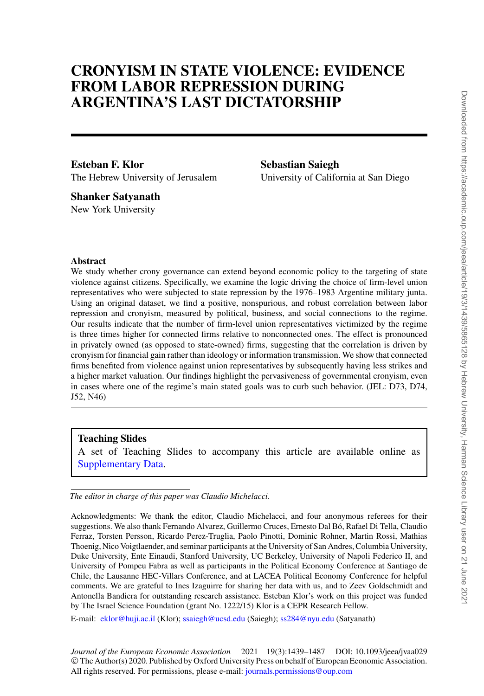# **CRONYISM IN STATE VIOLENCE: EVIDENCE FROM LABOR REPRESSION DURING ARGENTINA'S LAST DICTATORSHIP**

**Esteban F. Klor** The Hebrew University of Jerusalem **Sebastian Saiegh** University of California at San Diego

**Shanker Satyanath** New York University

### **Abstract**

We study whether crony governance can extend beyond economic policy to the targeting of state violence against citizens. Specifically, we examine the logic driving the choice of firm-level union representatives who were subjected to state repression by the 1976–1983 Argentine military junta. Using an original dataset, we find a positive, nonspurious, and robust correlation between labor repression and cronyism, measured by political, business, and social connections to the regime. Our results indicate that the number of firm-level union representatives victimized by the regime is three times higher for connected firms relative to nonconnected ones. The effect is pronounced in privately owned (as opposed to state-owned) firms, suggesting that the correlation is driven by cronyism for financial gain rather than ideology or information transmission. We show that connected firms benefited from violence against union representatives by subsequently having less strikes and a higher market valuation. Our findings highlight the pervasiveness of governmental cronyism, even in cases where one of the regime's main stated goals was to curb such behavior. (JEL: D73, D74, J52, N46)

# **Teaching Slides**

A set of Teaching Slides to accompany this article are available online as [Supplementary Data.](https://academic.oup.com/jeea/article-lookup/doi/10.1093/jeea/jvaa029#supplementary-data)

*The editor in charge of this paper was Claudio Michelacci*.

E-mail: [eklor@huji.ac.il](mailto:eklor@huji.ac.il) (Klor); [ssaiegh@ucsd.edu](mailto:ssaiegh@ucsd.edu) (Saiegh); [ss284@nyu.edu](mailto:ss284@nyu.edu) (Satyanath)

*Journal of the European Economic Association* 2021 19(3):1439–1487 DOI: 10.1093/jeea/jvaa029 © The Author(s) 2020. Published by Oxford University Press on behalf of European Economic Association. All rights reserved. For permissions, please e-mail: [journals.permissions@oup.com](mailto:journals.permissions@oup.com)

Acknowledgments: We thank the editor, Claudio Michelacci, and four anonymous referees for their suggestions. We also thank Fernando Alvarez, Guillermo Cruces, Ernesto Dal Bó, Rafael Di Tella, Claudio Ferraz, Torsten Persson, Ricardo Perez-Truglia, Paolo Pinotti, Dominic Rohner, Martin Rossi, Mathias Thoenig, Nico Voigtlaender, and seminar participants at the University of San Andres, Columbia University, Duke University, Ente Einaudi, Stanford University, UC Berkeley, University of Napoli Federico II, and University of Pompeu Fabra as well as participants in the Political Economy Conference at Santiago de Chile, the Lausanne HEC-Villars Conference, and at LACEA Political Economy Conference for helpful comments. We are grateful to Ines Izaguirre for sharing her data with us, and to Zeev Goldschmidt and Antonella Bandiera for outstanding research assistance. Esteban Klor's work on this project was funded by The Israel Science Foundation (grant No. 1222/15) Klor is a CEPR Research Fellow.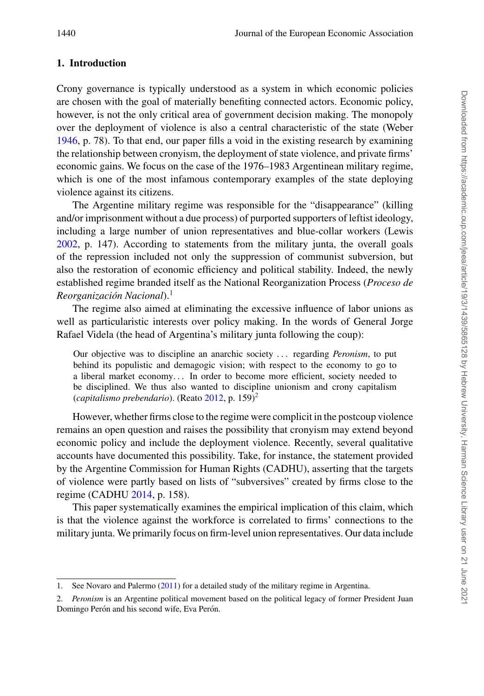## **1. Introduction**

Crony governance is typically understood as a system in which economic policies are chosen with the goal of materially benefiting connected actors. Economic policy, however, is not the only critical area of government decision making. The monopoly over the deployment of violence is also a central characteristic of the state (Weber [1946,](#page-48-0) p. 78). To that end, our paper fills a void in the existing research by examining the relationship between cronyism, the deployment of state violence, and private firms' economic gains. We focus on the case of the 1976–1983 Argentinean military regime, which is one of the most infamous contemporary examples of the state deploying violence against its citizens.

The Argentine military regime was responsible for the "disappearance" (killing and/or imprisonment without a due process) of purported supporters of leftist ideology, including a large number of union representatives and blue-collar workers (Lewis [2002,](#page-47-0) p. 147). According to statements from the military junta, the overall goals of the repression included not only the suppression of communist subversion, but also the restoration of economic efficiency and political stability. Indeed, the newly established regime branded itself as the National Reorganization Process (*Proceso de Reorganización Nacional*).<sup>1</sup>

The regime also aimed at eliminating the excessive influence of labor unions as well as particularistic interests over policy making. In the words of General Jorge Rafael Videla (the head of Argentina's military junta following the coup):

Our objective was to discipline an anarchic society . . . regarding *Peronism*, to put behind its populistic and demagogic vision; with respect to the economy to go to a liberal market economy. . . In order to become more efficient, society needed to be disciplined. We thus also wanted to discipline unionism and crony capitalism (*capitalismo prebendario*). (Reato [2012,](#page-47-1) p. 159)<sup>2</sup>

However, whether firms close to the regime were complicit in the postcoup violence remains an open question and raises the possibility that cronyism may extend beyond economic policy and include the deployment violence. Recently, several qualitative accounts have documented this possibility. Take, for instance, the statement provided by the Argentine Commission for Human Rights (CADHU), asserting that the targets of violence were partly based on lists of "subversives" created by firms close to the regime (CADHU [2014,](#page-46-0) p. 158).

This paper systematically examines the empirical implication of this claim, which is that the violence against the workforce is correlated to firms' connections to the military junta. We primarily focus on firm-level union representatives. Our data include

<sup>1.</sup> See Novaro and Palermo [\(2011\)](#page-47-2) for a detailed study of the military regime in Argentina.

<sup>2.</sup> *Peronism* is an Argentine political movement based on the political legacy of former President Juan Domingo Perón and his second wife, Eva Perón.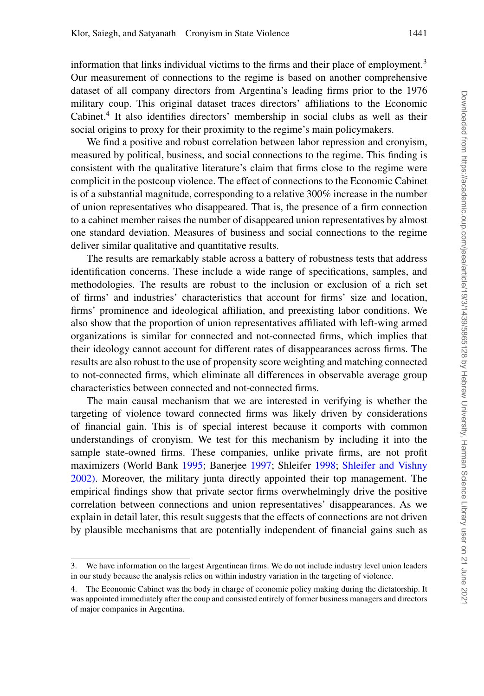information that links individual victims to the firms and their place of employment.<sup>3</sup> Our measurement of connections to the regime is based on another comprehensive dataset of all company directors from Argentina's leading firms prior to the 1976 military coup. This original dataset traces directors' affiliations to the Economic Cabinet.<sup>4</sup> It also identifies directors' membership in social clubs as well as their social origins to proxy for their proximity to the regime's main policymakers.

We find a positive and robust correlation between labor repression and cronyism, measured by political, business, and social connections to the regime. This finding is consistent with the qualitative literature's claim that firms close to the regime were complicit in the postcoup violence. The effect of connections to the Economic Cabinet is of a substantial magnitude, corresponding to a relative 300% increase in the number of union representatives who disappeared. That is, the presence of a firm connection to a cabinet member raises the number of disappeared union representatives by almost one standard deviation. Measures of business and social connections to the regime deliver similar qualitative and quantitative results.

The results are remarkably stable across a battery of robustness tests that address identification concerns. These include a wide range of specifications, samples, and methodologies. The results are robust to the inclusion or exclusion of a rich set of firms' and industries' characteristics that account for firms' size and location, firms' prominence and ideological affiliation, and preexisting labor conditions. We also show that the proportion of union representatives affiliated with left-wing armed organizations is similar for connected and not-connected firms, which implies that their ideology cannot account for different rates of disappearances across firms. The results are also robust to the use of propensity score weighting and matching connected to not-connected firms, which eliminate all differences in observable average group characteristics between connected and not-connected firms.

The main causal mechanism that we are interested in verifying is whether the targeting of violence toward connected firms was likely driven by considerations of financial gain. This is of special interest because it comports with common understandings of cronyism. We test for this mechanism by including it into the sample state-owned firms. These companies, unlike private firms, are not profit maximizers (World Bank [1995;](#page-48-1) Banerjee [1997;](#page-46-1) Shleifer [1998;](#page-48-2) [Shleifer and Vishny](#page-48-3) [2002\).](#page-48-3) Moreover, the military junta directly appointed their top management. The empirical findings show that private sector firms overwhelmingly drive the positive correlation between connections and union representatives' disappearances. As we explain in detail later, this result suggests that the effects of connections are not driven by plausible mechanisms that are potentially independent of financial gains such as

<sup>3.</sup> We have information on the largest Argentinean firms. We do not include industry level union leaders in our study because the analysis relies on within industry variation in the targeting of violence.

<sup>4.</sup> The Economic Cabinet was the body in charge of economic policy making during the dictatorship. It was appointed immediately after the coup and consisted entirely of former business managers and directors of major companies in Argentina.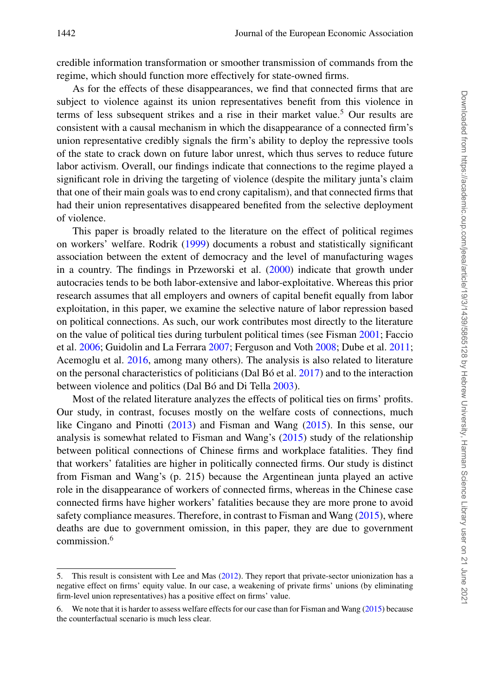credible information transformation or smoother transmission of commands from the regime, which should function more effectively for state-owned firms.

As for the effects of these disappearances, we find that connected firms that are subject to violence against its union representatives benefit from this violence in terms of less subsequent strikes and a rise in their market value.<sup>5</sup> Our results are consistent with a causal mechanism in which the disappearance of a connected firm's union representative credibly signals the firm's ability to deploy the repressive tools of the state to crack down on future labor unrest, which thus serves to reduce future labor activism. Overall, our findings indicate that connections to the regime played a significant role in driving the targeting of violence (despite the military junta's claim that one of their main goals was to end crony capitalism), and that connected firms that had their union representatives disappeared benefited from the selective deployment of violence.

This paper is broadly related to the literature on the effect of political regimes on workers' welfare. Rodrik [\(1999\)](#page-47-3) documents a robust and statistically significant association between the extent of democracy and the level of manufacturing wages in a country. The findings in Przeworski et al. [\(2000\)](#page-47-4) indicate that growth under autocracies tends to be both labor-extensive and labor-exploitative. Whereas this prior research assumes that all employers and owners of capital benefit equally from labor exploitation, in this paper, we examine the selective nature of labor repression based on political connections. As such, our work contributes most directly to the literature on the value of political ties during turbulent political times (see Fisman [2001;](#page-47-5) Faccio et al. [2006;](#page-47-6) Guidolin and La Ferrara [2007;](#page-47-7) Ferguson and Voth [2008;](#page-47-8) Dube et al. [2011;](#page-46-2) Acemoglu et al. [2016,](#page-46-3) among many others). The analysis is also related to literature on the personal characteristics of politicians (Dal Bó et al.  $2017$ ) and to the interaction between violence and politics (Dal Bó and Di Tella [2003\)](#page-46-5).

Most of the related literature analyzes the effects of political ties on firms' profits. Our study, in contrast, focuses mostly on the welfare costs of connections, much like Cingano and Pinotti [\(2013\)](#page-46-6) and Fisman and Wang [\(2015\)](#page-47-9). In this sense, our analysis is somewhat related to Fisman and Wang's [\(2015\)](#page-47-9) study of the relationship between political connections of Chinese firms and workplace fatalities. They find that workers' fatalities are higher in politically connected firms. Our study is distinct from Fisman and Wang's (p. 215) because the Argentinean junta played an active role in the disappearance of workers of connected firms, whereas in the Chinese case connected firms have higher workers' fatalities because they are more prone to avoid safety compliance measures. Therefore, in contrast to Fisman and Wang [\(2015\)](#page-47-9), where deaths are due to government omission, in this paper, they are due to government commission.6

<sup>5.</sup> This result is consistent with Lee and Mas [\(2012\)](#page-47-10). They report that private-sector unionization has a negative effect on firms' equity value. In our case, a weakening of private firms' unions (by eliminating firm-level union representatives) has a positive effect on firms' value.

<sup>6.</sup> We note that it is harder to assess welfare effects for our case than for Fisman and Wang [\(2015\)](#page-47-9) because the counterfactual scenario is much less clear.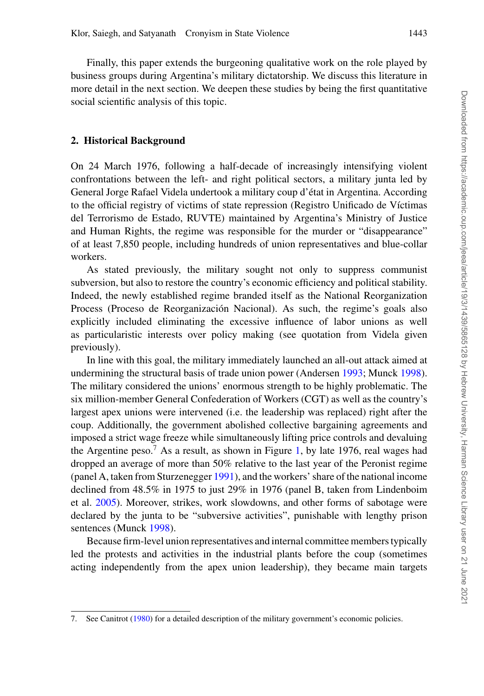Finally, this paper extends the burgeoning qualitative work on the role played by business groups during Argentina's military dictatorship. We discuss this literature in more detail in the next section. We deepen these studies by being the first quantitative social scientific analysis of this topic.

# **2. Historical Background**

On 24 March 1976, following a half-decade of increasingly intensifying violent confrontations between the left- and right political sectors, a military junta led by General Jorge Rafael Videla undertook a military coup d'etat in Argentina. According ´ to the official registry of victims of state repression (Registro Unificado de V´ıctimas del Terrorismo de Estado, RUVTE) maintained by Argentina's Ministry of Justice and Human Rights, the regime was responsible for the murder or "disappearance" of at least 7,850 people, including hundreds of union representatives and blue-collar workers.

As stated previously, the military sought not only to suppress communist subversion, but also to restore the country's economic efficiency and political stability. Indeed, the newly established regime branded itself as the National Reorganization Process (Proceso de Reorganización Nacional). As such, the regime's goals also explicitly included eliminating the excessive influence of labor unions as well as particularistic interests over policy making (see quotation from Videla given previously).

In line with this goal, the military immediately launched an all-out attack aimed at undermining the structural basis of trade union power (Andersen [1993;](#page-46-7) Munck [1998\)](#page-47-11). The military considered the unions' enormous strength to be highly problematic. The six million-member General Confederation of Workers (CGT) as well as the country's largest apex unions were intervened (i.e. the leadership was replaced) right after the coup. Additionally, the government abolished collective bargaining agreements and imposed a strict wage freeze while simultaneously lifting price controls and devaluing the Argentine peso.<sup>7</sup> As a result, as shown in Figure [1,](#page-5-0) by late 1976, real wages had dropped an average of more than 50% relative to the last year of the Peronist regime (panel A, taken from Sturzenegger [1991\)](#page-48-4), and the workers' share of the national income declined from 48.5% in 1975 to just 29% in 1976 (panel B, taken from Lindenboim et al. [2005\)](#page-47-12). Moreover, strikes, work slowdowns, and other forms of sabotage were declared by the junta to be "subversive activities", punishable with lengthy prison sentences (Munck [1998\)](#page-47-11).

Because firm-level union representatives and internal committee members typically led the protests and activities in the industrial plants before the coup (sometimes acting independently from the apex union leadership), they became main targets

<sup>7.</sup> See Canitrot [\(1980\)](#page-46-8) for a detailed description of the military government's economic policies.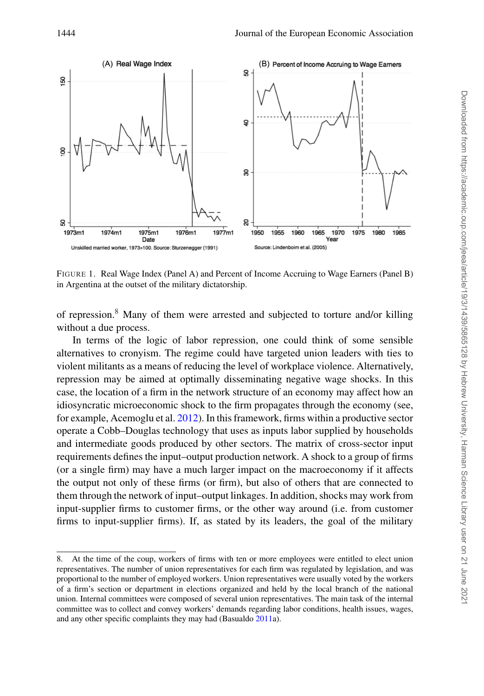<span id="page-5-0"></span>

FIGURE 1. Real Wage Index (Panel A) and Percent of Income Accruing to Wage Earners (Panel B) in Argentina at the outset of the military dictatorship.

of repression.<sup>8</sup> Many of them were arrested and subjected to torture and/or killing without a due process.

In terms of the logic of labor repression, one could think of some sensible alternatives to cronyism. The regime could have targeted union leaders with ties to violent militants as a means of reducing the level of workplace violence. Alternatively, repression may be aimed at optimally disseminating negative wage shocks. In this case, the location of a firm in the network structure of an economy may affect how an idiosyncratic microeconomic shock to the firm propagates through the economy (see, for example, Acemoglu et al. [2012\)](#page-46-9). In this framework, firms within a productive sector operate a Cobb–Douglas technology that uses as inputs labor supplied by households and intermediate goods produced by other sectors. The matrix of cross-sector input requirements defines the input–output production network. A shock to a group of firms (or a single firm) may have a much larger impact on the macroeconomy if it affects the output not only of these firms (or firm), but also of others that are connected to them through the network of input–output linkages. In addition, shocks may work from input-supplier firms to customer firms, or the other way around (i.e. from customer firms to input-supplier firms). If, as stated by its leaders, the goal of the military

<sup>8.</sup> At the time of the coup, workers of firms with ten or more employees were entitled to elect union representatives. The number of union representatives for each firm was regulated by legislation, and was proportional to the number of employed workers. Union representatives were usually voted by the workers of a firm's section or department in elections organized and held by the local branch of the national union. Internal committees were composed of several union representatives. The main task of the internal committee was to collect and convey workers' demands regarding labor conditions, health issues, wages, and any other specific complaints they may had (Basualdo [2011a](#page-46-10)).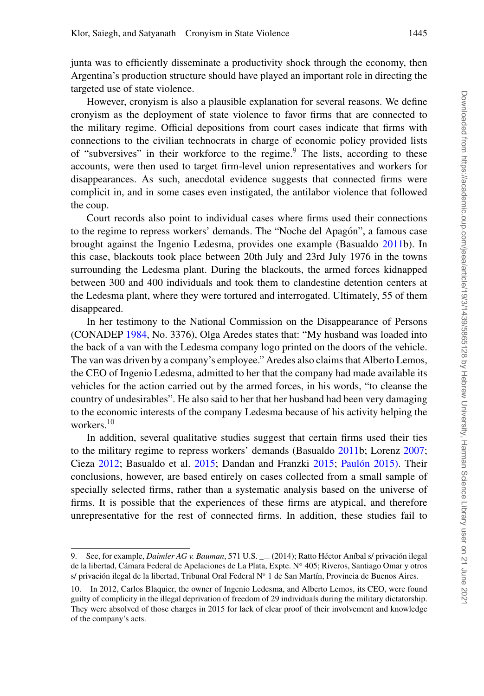junta was to efficiently disseminate a productivity shock through the economy, then Argentina's production structure should have played an important role in directing the targeted use of state violence.

However, cronyism is also a plausible explanation for several reasons. We define cronyism as the deployment of state violence to favor firms that are connected to the military regime. Official depositions from court cases indicate that firms with connections to the civilian technocrats in charge of economic policy provided lists of "subversives" in their workforce to the regime.<sup>9</sup> The lists, according to these accounts, were then used to target firm-level union representatives and workers for disappearances. As such, anecdotal evidence suggests that connected firms were complicit in, and in some cases even instigated, the antilabor violence that followed the coup.

Court records also point to individual cases where firms used their connections to the regime to repress workers' demands. The "Noche del Apagon", a famous case ´ brought against the Ingenio Ledesma, provides one example (Basualdo [2011b](#page-46-11)). In this case, blackouts took place between 20th July and 23rd July 1976 in the towns surrounding the Ledesma plant. During the blackouts, the armed forces kidnapped between 300 and 400 individuals and took them to clandestine detention centers at the Ledesma plant, where they were tortured and interrogated. Ultimately, 55 of them disappeared.

In her testimony to the National Commission on the Disappearance of Persons (CONADEP [1984,](#page-46-12) No. 3376), Olga Aredes states that: "My husband was loaded into the back of a van with the Ledesma company logo printed on the doors of the vehicle. The van was driven by a company's employee." Aredes also claims that Alberto Lemos, the CEO of Ingenio Ledesma, admitted to her that the company had made available its vehicles for the action carried out by the armed forces, in his words, "to cleanse the country of undesirables". He also said to her that her husband had been very damaging to the economic interests of the company Ledesma because of his activity helping the workers $10$ 

In addition, several qualitative studies suggest that certain firms used their ties to the military regime to repress workers' demands (Basualdo [2011b](#page-46-11); Lorenz [2007;](#page-47-13) Cieza [2012;](#page-46-13) Basualdo et al. [2015;](#page-46-15) Dandan and Franzki 2015; Paulón 2015). Their conclusions, however, are based entirely on cases collected from a small sample of specially selected firms, rather than a systematic analysis based on the universe of firms. It is possible that the experiences of these firms are atypical, and therefore unrepresentative for the rest of connected firms. In addition, these studies fail to

<sup>9.</sup> See, for example, *Daimler AG v. Bauman*, 571 U.S. \_\_\_ (2014); Ratto Héctor Aníbal s/ privación ilegal de la libertad, Cámara Federal de Apelaciones de La Plata, Expte. Nº 405; Riveros, Santiago Omar y otros s/ privación ilegal de la libertad, Tribunal Oral Federal Nº 1 de San Martín, Provincia de Buenos Aires.

<sup>10.</sup> In 2012, Carlos Blaquier, the owner of Ingenio Ledesma, and Alberto Lemos, its CEO, were found guilty of complicity in the illegal deprivation of freedom of 29 individuals during the military dictatorship. They were absolved of those charges in 2015 for lack of clear proof of their involvement and knowledge of the company's acts.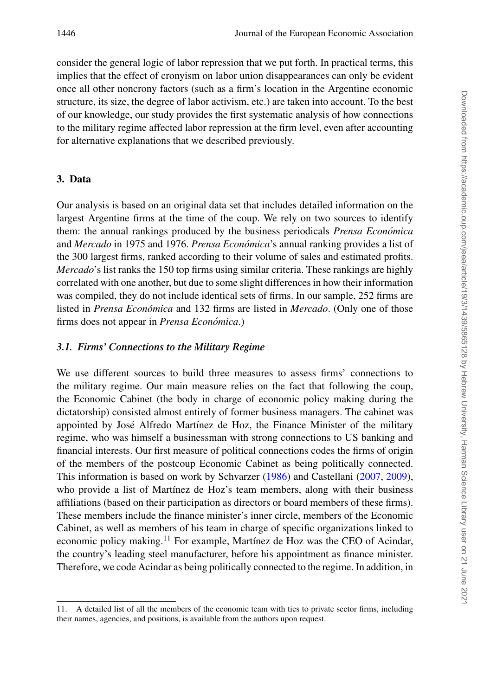consider the general logic of labor repression that we put forth. In practical terms, this implies that the effect of cronyism on labor union disappearances can only be evident once all other noncrony factors (such as a firm's location in the Argentine economic structure, its size, the degree of labor activism, etc.) are taken into account. To the best of our knowledge, our study provides the first systematic analysis of how connections to the military regime affected labor repression at the firm level, even after accounting for alternative explanations that we described previously.

# **3. Data**

Our analysis is based on an original data set that includes detailed information on the largest Argentine firms at the time of the coup. We rely on two sources to identify them: the annual rankings produced by the business periodicals *Prensa Economica ´* and *Mercado* in 1975 and 1976. *Prensa Economica ´* 's annual ranking provides a list of the 300 largest firms, ranked according to their volume of sales and estimated profits. *Mercado*'s list ranks the 150 top firms using similar criteria. These rankings are highly correlated with one another, but due to some slight differences in how their information was compiled, they do not include identical sets of firms. In our sample, 252 firms are listed in *Prensa Económica* and 132 firms are listed in *Mercado*. (Only one of those firms does not appear in *Prensa Economica ´* .)

# *3.1. Firms' Connections to the Military Regime*

We use different sources to build three measures to assess firms' connections to the military regime. Our main measure relies on the fact that following the coup, the Economic Cabinet (the body in charge of economic policy making during the dictatorship) consisted almost entirely of former business managers. The cabinet was appointed by José Alfredo Martínez de Hoz, the Finance Minister of the military regime, who was himself a businessman with strong connections to US banking and financial interests. Our first measure of political connections codes the firms of origin of the members of the postcoup Economic Cabinet as being politically connected. This information is based on work by Schvarzer [\(1986\)](#page-47-15) and Castellani [\(2007,](#page-46-16) [2009\)](#page-46-17), who provide a list of Martínez de Hoz's team members, along with their business affiliations (based on their participation as directors or board members of these firms). These members include the finance minister's inner circle, members of the Economic Cabinet, as well as members of his team in charge of specific organizations linked to economic policy making.<sup>11</sup> For example, Martínez de Hoz was the CEO of Acindar, the country's leading steel manufacturer, before his appointment as finance minister. Therefore, we code Acindar as being politically connected to the regime. In addition, in

<sup>11.</sup> A detailed list of all the members of the economic team with ties to private sector firms, including their names, agencies, and positions, is available from the authors upon request.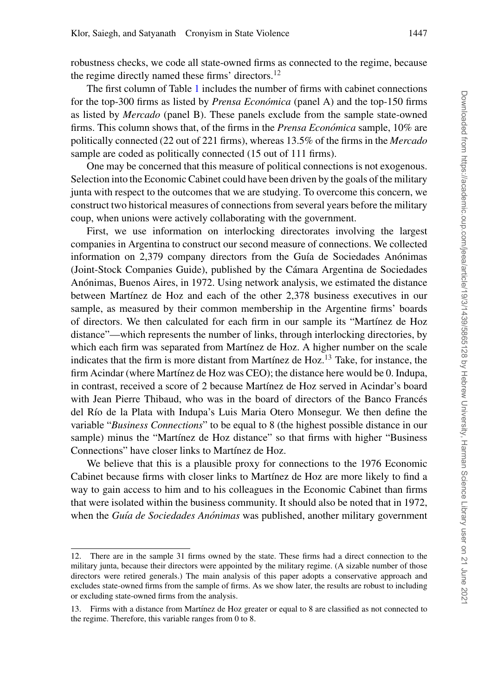robustness checks, we code all state-owned firms as connected to the regime, because the regime directly named these firms' directors.<sup>12</sup>

The first column of Table [1](#page-9-0) includes the number of firms with cabinet connections for the top-300 firms as listed by *Prensa Economica ´* (panel A) and the top-150 firms as listed by *Mercado* (panel B). These panels exclude from the sample state-owned firms. This column shows that, of the firms in the *Prensa Económica* sample, 10% are politically connected (22 out of 221 firms), whereas 13.5% of the firms in the *Mercado* sample are coded as politically connected (15 out of 111 firms).

One may be concerned that this measure of political connections is not exogenous. Selection into the Economic Cabinet could have been driven by the goals of the military junta with respect to the outcomes that we are studying. To overcome this concern, we construct two historical measures of connections from several years before the military coup, when unions were actively collaborating with the government.

First, we use information on interlocking directorates involving the largest companies in Argentina to construct our second measure of connections. We collected information on 2,379 company directors from the Guía de Sociedades Anónimas (Joint-Stock Companies Guide), published by the Cámara Argentina de Sociedades Anónimas, Buenos Aires, in 1972. Using network analysis, we estimated the distance between Martínez de Hoz and each of the other 2,378 business executives in our sample, as measured by their common membership in the Argentine firms' boards of directors. We then calculated for each firm in our sample its "Martínez de Hoz distance"—which represents the number of links, through interlocking directories, by which each firm was separated from Martínez de Hoz. A higher number on the scale indicates that the firm is more distant from Martínez de Hoz.<sup>13</sup> Take, for instance, the firm Acindar (where Martínez de Hoz was CEO); the distance here would be 0. Indupa, in contrast, received a score of 2 because Martínez de Hoz served in Acindar's board with Jean Pierre Thibaud, who was in the board of directors of the Banco Francés del Río de la Plata with Indupa's Luis Maria Otero Monsegur. We then define the variable "*Business Connections*" to be equal to 8 (the highest possible distance in our sample) minus the "Martínez de Hoz distance" so that firms with higher "Business" Connections" have closer links to Martínez de Hoz.

We believe that this is a plausible proxy for connections to the 1976 Economic Cabinet because firms with closer links to Martínez de Hoz are more likely to find a way to gain access to him and to his colleagues in the Economic Cabinet than firms that were isolated within the business community. It should also be noted that in 1972, when the *Guía de Sociedades Anónimas* was published, another military government

<sup>12.</sup> There are in the sample 31 firms owned by the state. These firms had a direct connection to the military junta, because their directors were appointed by the military regime. (A sizable number of those directors were retired generals.) The main analysis of this paper adopts a conservative approach and excludes state-owned firms from the sample of firms. As we show later, the results are robust to including or excluding state-owned firms from the analysis.

<sup>13.</sup> Firms with a distance from Martínez de Hoz greater or equal to 8 are classified as not connected to the regime. Therefore, this variable ranges from 0 to 8.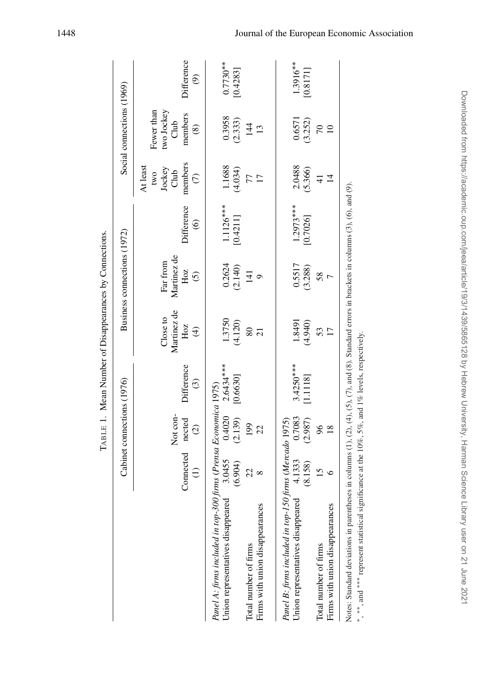|                                                                                                                                                                                                                                                    |                        | Cabinet connections (1976)          |                         |                                               | Business connections (1972)               |                              |                                                               | Social connections (1969)                                    |                                        |
|----------------------------------------------------------------------------------------------------------------------------------------------------------------------------------------------------------------------------------------------------|------------------------|-------------------------------------|-------------------------|-----------------------------------------------|-------------------------------------------|------------------------------|---------------------------------------------------------------|--------------------------------------------------------------|----------------------------------------|
|                                                                                                                                                                                                                                                    | Connected<br>$\ominus$ | Not con-<br>nected<br>$\widehat{c}$ | difference<br>$\odot$   | Martinez de<br>Close to<br>Hoz<br>$\bigoplus$ | Martinez de<br>Far from<br>Hoz<br>$\odot$ | <b>Difference</b><br>$\odot$ | members<br>At least<br>Jockey<br>Club<br>two<br>$\widehat{C}$ | Fewer than<br>two Jockey<br>Club<br>members<br>$\circledast$ | Difference<br>$\widehat{\mathfrak{G}}$ |
| Panel A: firms included in top-300 firms (Prensa Economica 1975)<br>Union representatives disappeared                                                                                                                                              | $3.0455$<br>(6.904)    | 0.4020<br>(2.139)                   | $2.6434***$<br>[0.6630] | 1.3750<br>(4.120)                             | $0.2624$<br>(2.140)                       | $1.1126***$<br>[0.4211]      | 1.1688<br>(4.034)                                             | 0.3958<br>(2.333)                                            | $0.7730**$<br>[0.4283]                 |
| Firms with union disappearances<br>Total number of firms                                                                                                                                                                                           | 22<br>$\infty$         | 199<br>22                           |                         | 80<br>$\overline{c}$                          | $\overline{141}$<br>ඁ                     |                              | $\overline{17}$                                               | 144<br>13                                                    |                                        |
| Panel B: firms included in top-150 firms (Mercado 1975)<br>Union representatives disappeared                                                                                                                                                       | 4.1333<br>(8.158)      | 0.7083<br>(2.987)                   | $3.4250***$<br>[1.1118] | (4.940)<br>1.8491                             | 0.5517<br>(3.288)                         | $1.2973***$<br>[0.7026]      | 2.0488<br>(5.366)                                             | 0.6571<br>(3.252)                                            | 1.3916**<br>[0.8171]                   |
| Firms with union disappearances<br>Total number of firms                                                                                                                                                                                           | $\frac{5}{2}$          | $\frac{6}{2}$<br>$\frac{8}{18}$     |                         | 53                                            | 58<br>Γ                                   |                              | $\overline{4}$                                                |                                                              |                                        |
| Notes: Standard deviations in parentheses in columns (1), (2), (4), (5), (7), and (8). Standard errors in brackets in columns (3), (6), and (9).<br>*, **, and *** represent statistical significance at the 10%, 5%, and 1% levels, respectively. |                        |                                     |                         |                                               |                                           |                              |                                                               |                                                              |                                        |

<span id="page-9-0"></span>TABLE 1. Mean Number of Disappearances by Connections. TABLE 1. Mean Number of Disappearances by Connections.

Downloaded from https://academic.oup.com/jeea/article/19/3/1439/5865128 by Hebrew University, Harman Science Library user on 21 June 2021 Downloaded from https://academic.oup.com/jeea/article/19/3/1439/5865128 by Hebrew University, Harman Science Library user on 21 June 2021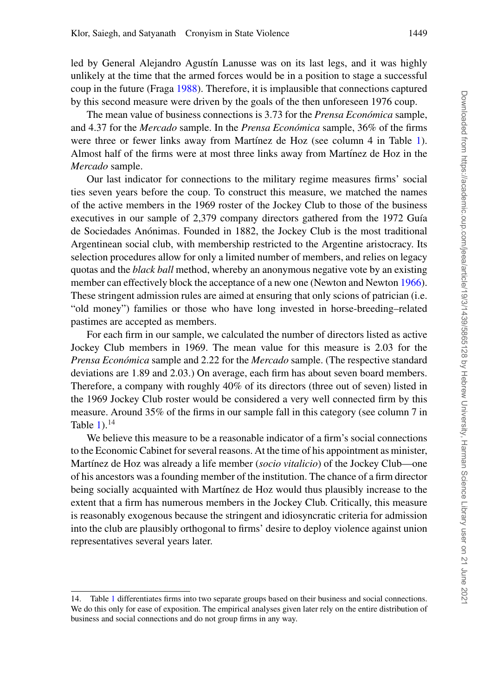led by General Alejandro Agustín Lanusse was on its last legs, and it was highly unlikely at the time that the armed forces would be in a position to stage a successful coup in the future (Fraga [1988\)](#page-47-16). Therefore, it is implausible that connections captured by this second measure were driven by the goals of the then unforeseen 1976 coup.

The mean value of business connections is 3.73 for the *Prensa Económica* sample, and 4.37 for the *Mercado* sample. In the *Prensa Económica* sample, 36% of the firms were three or fewer links away from Martínez de Hoz (see column 4 in Table [1\)](#page-9-0). Almost half of the firms were at most three links away from Martínez de Hoz in the *Mercado* sample.

Our last indicator for connections to the military regime measures firms' social ties seven years before the coup. To construct this measure, we matched the names of the active members in the 1969 roster of the Jockey Club to those of the business executives in our sample of 2,379 company directors gathered from the 1972 Guía de Sociedades Anónimas. Founded in 1882, the Jockey Club is the most traditional Argentinean social club, with membership restricted to the Argentine aristocracy. Its selection procedures allow for only a limited number of members, and relies on legacy quotas and the *black ball* method, whereby an anonymous negative vote by an existing member can effectively block the acceptance of a new one (Newton and Newton [1966\)](#page-47-17). These stringent admission rules are aimed at ensuring that only scions of patrician (i.e. "old money") families or those who have long invested in horse-breeding–related pastimes are accepted as members.

For each firm in our sample, we calculated the number of directors listed as active Jockey Club members in 1969. The mean value for this measure is 2.03 for the *Prensa Económica* sample and 2.22 for the *Mercado* sample. (The respective standard deviations are 1.89 and 2.03.) On average, each firm has about seven board members. Therefore, a company with roughly 40% of its directors (three out of seven) listed in the 1969 Jockey Club roster would be considered a very well connected firm by this measure. Around 35% of the firms in our sample fall in this category (see column 7 in Table  $1$ ).<sup>14</sup>

We believe this measure to be a reasonable indicator of a firm's social connections to the Economic Cabinet for several reasons. At the time of his appointment as minister, Martínez de Hoz was already a life member (*socio vitalicio*) of the Jockey Club—one of his ancestors was a founding member of the institution. The chance of a firm director being socially acquainted with Martínez de Hoz would thus plausibly increase to the extent that a firm has numerous members in the Jockey Club. Critically, this measure is reasonably exogenous because the stringent and idiosyncratic criteria for admission into the club are plausibly orthogonal to firms' desire to deploy violence against union representatives several years later.

<sup>14.</sup> Table [1](#page-9-0) differentiates firms into two separate groups based on their business and social connections. We do this only for ease of exposition. The empirical analyses given later rely on the entire distribution of business and social connections and do not group firms in any way.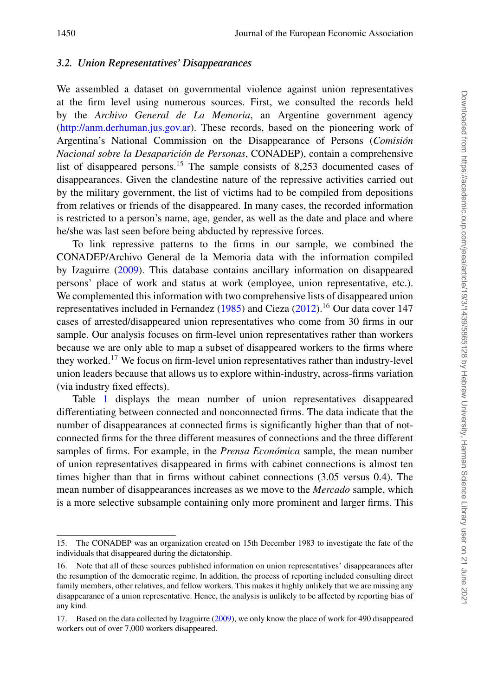## *3.2. Union Representatives' Disappearances*

We assembled a dataset on governmental violence against union representatives at the firm level using numerous sources. First, we consulted the records held by the *Archivo General de La Memoria*, an Argentine government agency [\(http://anm.derhuman.jus.gov.ar\)](http://anm.derhuman.jus.gov.ar). These records, based on the pioneering work of Argentina's National Commission on the Disappearance of Persons (*Comision´ Nacional sobre la Desaparicion de Personas ´* , CONADEP), contain a comprehensive list of disappeared persons.<sup>15</sup> The sample consists of 8,253 documented cases of disappearances. Given the clandestine nature of the repressive activities carried out by the military government, the list of victims had to be compiled from depositions from relatives or friends of the disappeared. In many cases, the recorded information is restricted to a person's name, age, gender, as well as the date and place and where he/she was last seen before being abducted by repressive forces.

To link repressive patterns to the firms in our sample, we combined the CONADEP/Archivo General de la Memoria data with the information compiled by Izaguirre [\(2009\)](#page-47-18). This database contains ancillary information on disappeared persons' place of work and status at work (employee, union representative, etc.). We complemented this information with two comprehensive lists of disappeared union representatives included in Fernandez [\(1985\)](#page-47-19) and Cieza [\(2012\)](#page-46-13).<sup>16</sup> Our data cover 147 cases of arrested/disappeared union representatives who come from 30 firms in our sample. Our analysis focuses on firm-level union representatives rather than workers because we are only able to map a subset of disappeared workers to the firms where they worked.<sup>17</sup> We focus on firm-level union representatives rather than industry-level union leaders because that allows us to explore within-industry, across-firms variation (via industry fixed effects).

Table [1](#page-9-0) displays the mean number of union representatives disappeared differentiating between connected and nonconnected firms. The data indicate that the number of disappearances at connected firms is significantly higher than that of notconnected firms for the three different measures of connections and the three different samples of firms. For example, in the *Prensa Económica* sample, the mean number of union representatives disappeared in firms with cabinet connections is almost ten times higher than that in firms without cabinet connections (3.05 versus 0.4). The mean number of disappearances increases as we move to the *Mercado* sample, which is a more selective subsample containing only more prominent and larger firms. This

<sup>15.</sup> The CONADEP was an organization created on 15th December 1983 to investigate the fate of the individuals that disappeared during the dictatorship.

<sup>16.</sup> Note that all of these sources published information on union representatives' disappearances after the resumption of the democratic regime. In addition, the process of reporting included consulting direct family members, other relatives, and fellow workers. This makes it highly unlikely that we are missing any disappearance of a union representative. Hence, the analysis is unlikely to be affected by reporting bias of any kind.

<sup>17.</sup> Based on the data collected by Izaguirre [\(2009\)](#page-47-18), we only know the place of work for 490 disappeared workers out of over 7,000 workers disappeared.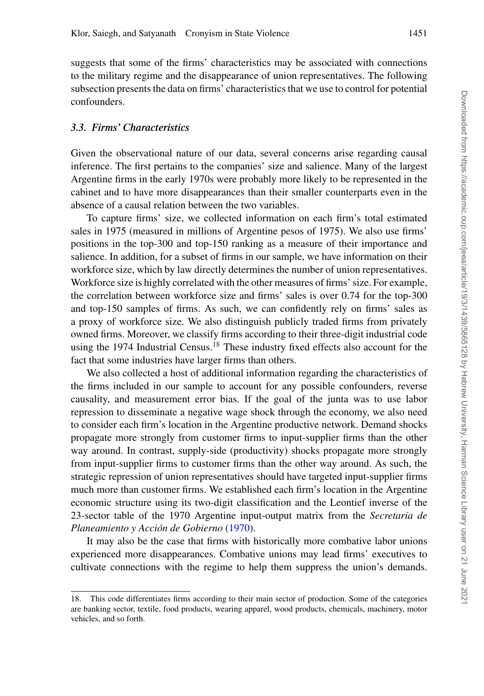suggests that some of the firms' characteristics may be associated with connections to the military regime and the disappearance of union representatives. The following subsection presents the data on firms' characteristics that we use to control for potential confounders.

### *3.3. Firms' Characteristics*

Given the observational nature of our data, several concerns arise regarding causal inference. The first pertains to the companies' size and salience. Many of the largest Argentine firms in the early 1970s were probably more likely to be represented in the cabinet and to have more disappearances than their smaller counterparts even in the absence of a causal relation between the two variables.

To capture firms' size, we collected information on each firm's total estimated sales in 1975 (measured in millions of Argentine pesos of 1975). We also use firms' positions in the top-300 and top-150 ranking as a measure of their importance and salience. In addition, for a subset of firms in our sample, we have information on their workforce size, which by law directly determines the number of union representatives. Workforce size is highly correlated with the other measures of firms' size. For example, the correlation between workforce size and firms' sales is over 0.74 for the top-300 and top-150 samples of firms. As such, we can confidently rely on firms' sales as a proxy of workforce size. We also distinguish publicly traded firms from privately owned firms. Moreover, we classify firms according to their three-digit industrial code using the 1974 Industrial Census.<sup>18</sup> These industry fixed effects also account for the fact that some industries have larger firms than others.

We also collected a host of additional information regarding the characteristics of the firms included in our sample to account for any possible confounders, reverse causality, and measurement error bias. If the goal of the junta was to use labor repression to disseminate a negative wage shock through the economy, we also need to consider each firm's location in the Argentine productive network. Demand shocks propagate more strongly from customer firms to input-supplier firms than the other way around. In contrast, supply-side (productivity) shocks propagate more strongly from input-supplier firms to customer firms than the other way around. As such, the strategic repression of union representatives should have targeted input-supplier firms much more than customer firms. We established each firm's location in the Argentine economic structure using its two-digit classification and the Leontief inverse of the 23-sector table of the 1970 Argentine input-output matrix from the *Secretaria de Planeamiento y Accion de Gobierno ´* [\(1970\)](#page-47-20).

It may also be the case that firms with historically more combative labor unions experienced more disappearances. Combative unions may lead firms' executives to cultivate connections with the regime to help them suppress the union's demands.

<sup>18.</sup> This code differentiates firms according to their main sector of production. Some of the categories are banking sector, textile, food products, wearing apparel, wood products, chemicals, machinery, motor vehicles, and so forth.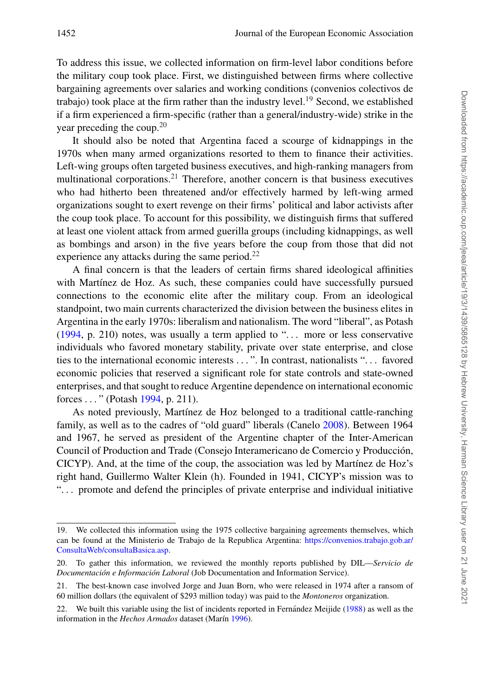To address this issue, we collected information on firm-level labor conditions before the military coup took place. First, we distinguished between firms where collective bargaining agreements over salaries and working conditions (convenios colectivos de trabajo) took place at the firm rather than the industry level.<sup>19</sup> Second, we established if a firm experienced a firm-specific (rather than a general/industry-wide) strike in the year preceding the coup.<sup>20</sup>

It should also be noted that Argentina faced a scourge of kidnappings in the 1970s when many armed organizations resorted to them to finance their activities. Left-wing groups often targeted business executives, and high-ranking managers from multinational corporations.<sup>21</sup> Therefore, another concern is that business executives who had hitherto been threatened and/or effectively harmed by left-wing armed organizations sought to exert revenge on their firms' political and labor activists after the coup took place. To account for this possibility, we distinguish firms that suffered at least one violent attack from armed guerilla groups (including kidnappings, as well as bombings and arson) in the five years before the coup from those that did not experience any attacks during the same period.<sup>22</sup>

A final concern is that the leaders of certain firms shared ideological affinities with Martínez de Hoz. As such, these companies could have successfully pursued connections to the economic elite after the military coup. From an ideological standpoint, two main currents characterized the division between the business elites in Argentina in the early 1970s: liberalism and nationalism. The word "liberal", as Potash  $(1994, p. 210)$  $(1994, p. 210)$  notes, was usually a term applied to "... more or less conservative individuals who favored monetary stability, private over state enterprise, and close ties to the international economic interests . . . ". In contrast, nationalists ". . . favored economic policies that reserved a significant role for state controls and state-owned enterprises, and that sought to reduce Argentine dependence on international economic forces . . . " (Potash [1994,](#page-47-21) p. 211).

As noted previously, Martínez de Hoz belonged to a traditional cattle-ranching family, as well as to the cadres of "old guard" liberals (Canelo [2008\)](#page-46-18). Between 1964 and 1967, he served as president of the Argentine chapter of the Inter-American Council of Production and Trade (Consejo Interamericano de Comercio y Produccion, ´ CICYP). And, at the time of the coup, the association was led by Martínez de Hoz's right hand, Guillermo Walter Klein (h). Founded in 1941, CICYP's mission was to ". . . promote and defend the principles of private enterprise and individual initiative

<sup>19.</sup> We collected this information using the 1975 collective bargaining agreements themselves, which can be found at the Ministerio de Trabajo de la Republica Argentina: [https://convenios.trabajo.gob.ar/](https://convenios.trabajo.gob.ar/ConsultaWeb/consultaBasica.asp) [ConsultaWeb/consultaBasica.asp.](https://convenios.trabajo.gob.ar/ConsultaWeb/consultaBasica.asp)

<sup>20.</sup> To gather this information, we reviewed the monthly reports published by DIL—*Servicio de Documentación e Información Laboral* (Job Documentation and Information Service).

<sup>21.</sup> The best-known case involved Jorge and Juan Born, who were released in 1974 after a ransom of 60 million dollars (the equivalent of \$293 million today) was paid to the *Montoneros* organization.

<sup>22.</sup> We built this variable using the list of incidents reported in Fernandez Meijide ([1988\)](#page-47-22) as well as the information in the *Hechos Armados* dataset (Marín [1996\)](#page-47-23).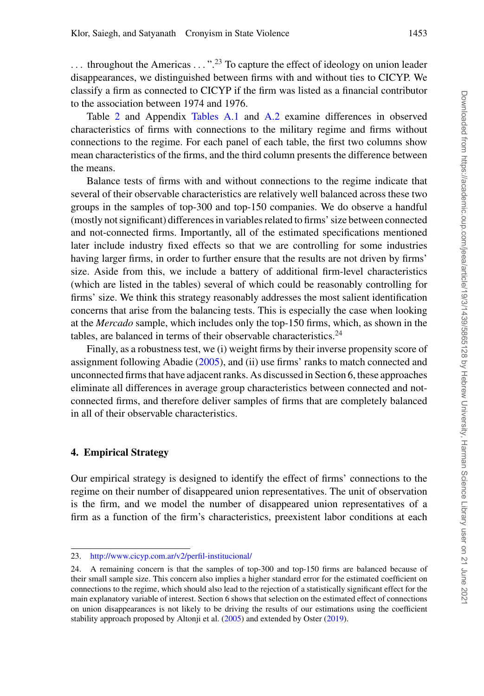$\ldots$  throughout the Americas  $\ldots$ ".<sup>23</sup> To capture the effect of ideology on union leader disappearances, we distinguished between firms with and without ties to CICYP. We classify a firm as connected to CICYP if the firm was listed as a financial contributor to the association between 1974 and 1976.

Table [2](#page-15-0) and Appendix [Tables A.1](#page-40-0) and [A.2](#page-41-0) examine differences in observed characteristics of firms with connections to the military regime and firms without connections to the regime. For each panel of each table, the first two columns show mean characteristics of the firms, and the third column presents the difference between the means.

Balance tests of firms with and without connections to the regime indicate that several of their observable characteristics are relatively well balanced across these two groups in the samples of top-300 and top-150 companies. We do observe a handful (mostly not significant) differences in variables related to firms' size between connected and not-connected firms. Importantly, all of the estimated specifications mentioned later include industry fixed effects so that we are controlling for some industries having larger firms, in order to further ensure that the results are not driven by firms' size. Aside from this, we include a battery of additional firm-level characteristics (which are listed in the tables) several of which could be reasonably controlling for firms' size. We think this strategy reasonably addresses the most salient identification concerns that arise from the balancing tests. This is especially the case when looking at the *Mercado* sample, which includes only the top-150 firms, which, as shown in the tables, are balanced in terms of their observable characteristics. $24$ 

Finally, as a robustness test, we (i) weight firms by their inverse propensity score of assignment following Abadie [\(2005\)](#page-46-19), and (ii) use firms' ranks to match connected and unconnected firms that have adjacent ranks. As discussed in Section 6, these approaches eliminate all differences in average group characteristics between connected and notconnected firms, and therefore deliver samples of firms that are completely balanced in all of their observable characteristics[.](#page-16-0)

# **4. Empirical Strategy**

Our empirical strategy is designed to identify the effect of firms' connections to the regime on their number of disappeared union representatives. The unit of observation is the firm, and we model the number of disappeared union representatives of a firm as a function of the firm's characteristics, preexistent labor conditions at each

<sup>23.</sup> <http://www.cicyp.com.ar/v2/perfil-institucional/>

<sup>24.</sup> A remaining concern is that the samples of top-300 and top-150 firms are balanced because of their small sample size. This concern also implies a higher standard error for the estimated coefficient on connections to the regime, which should also lead to the rejection of a statistically significant effect for the main explanatory variable of interest. Section 6 shows that selection on the estimated effect of connections on union disappearances is not likely to be driving the results of our estimations using the coefficient stability approach proposed by Altonji et al. [\(2005\)](#page-46-20) and extended by Oster [\(2019\)](#page-47-24).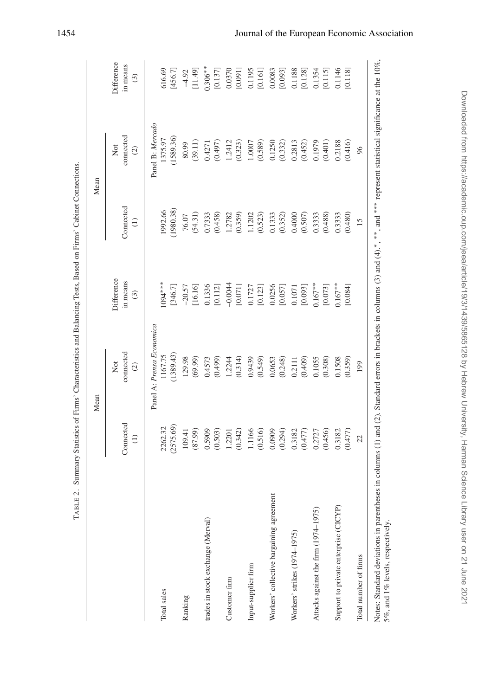|                                          |                              | Mean                                                      |                                   |                            | Mean                              |                                   |
|------------------------------------------|------------------------------|-----------------------------------------------------------|-----------------------------------|----------------------------|-----------------------------------|-----------------------------------|
|                                          | Connected<br>$\widehat{\Xi}$ | connected<br>$\stackrel{\rm of}{\simeq}$<br>$\widehat{c}$ | Difference<br>in means<br>$\odot$ | Connected<br>$\widehat{z}$ | connected<br>Not<br>$\widehat{c}$ | Difference<br>in means<br>$\odot$ |
|                                          |                              | Panel A: Prensa Economica                                 |                                   |                            | Panel B: Mercado                  |                                   |
| Total sales                              | (2575.69)<br>2262.32         | (1389.43)<br>1167.75                                      | $1094***$<br>[346.7]              | (1980.38)<br>1992.66       | (1589.36)<br>1375.97              | 616.69<br>[456.7]                 |
| Ranking                                  | 109.41                       | 129.98                                                    | $-20.57$                          | 76.07                      | 80.99                             | $-4.92$                           |
|                                          | (87.99)                      | (69.99)                                                   | [16.16]                           | (54.31)                    | (39.11)                           | [11.49]                           |
| trades in stock exchange (Merval)        | 0.5909<br>(0.503)            | (0.499)<br>0.4573                                         | 0.1336<br>[0.112]                 | (0.458)<br>0.7333          | (0.497)<br>0.4271                 | $0.306**$<br>[0.137]              |
| Customer firm                            | 1.2201                       | 1.2244                                                    | $-0.0044$                         | 1.2782                     | 1.2412                            | 0.0370                            |
|                                          | (0.342)                      | (0.314)                                                   | [0.071]                           | (0.359)                    | (0.323)                           | [0.091]                           |
| Input-supplier firm                      | 1.1166                       | 0.9439                                                    | 0.1727                            | 1.1202                     | 1.0007                            | 0.1195                            |
|                                          | (0.516)                      | (0.549)                                                   | [0.123]                           | (0.523)                    | (0.589)                           | [0.161]                           |
| Workers' collective bargaining agreement | 0.0909                       | 0.0653                                                    | 0.0256                            | 0.1333                     | 0.1250                            | 0.0083                            |
|                                          | (0.294)                      | (0.248)                                                   | [0.057]                           | (0.352)                    | (0.332)                           | [0.093]                           |
| Workers' strikes (1974-1975)             | 0.3182                       | 0.2111                                                    | $0.1071$                          | 0.4000                     | 0.2813                            | 0.1188                            |
|                                          | (774.0)                      | (0.409)                                                   | [0.093]                           | (0.507)                    | (0.452)                           | [0.128]                           |
| Attacks against the firm (1974-1975)     | 0.2727                       | 0.1055                                                    | $0.167***$                        | 0.3333                     | 0.1979                            | 0.1354                            |
|                                          | (0.456)                      | (0.308)                                                   | [0.073]                           | (0.488)                    | (0.401)                           | [0.115]                           |
| Support to private enterprise (CICYP)    | 0.3182                       | 0.1508                                                    | $0.167***$                        | 0.3333                     | 0.2188                            | 0.1146                            |
|                                          | (0.477)                      | (0.359)                                                   | [0.084]                           | (0.480)                    | (0.416)                           | [0.118]                           |
| Total number of firms                    | 22                           | 199                                                       |                                   | 15                         | 96                                |                                   |

<span id="page-15-0"></span>TABLE 2. Summary Statistics of Firms' Characteristics and Balancing Tests, Based on Firms' Cabinet Connections.

TABLE 2. Summary Statistics of Firms' Characteristics and Balancing Tests, Based on Firms' Cabinet Connections.

# Downloaded from https://academic.oup.com/jeea/article/19/3/1439/5865128 by Hebrew University, Harman Science Library user on 21 June 2021 Downloaded from https://academic.oup.com/jeea/article/19/3/1439/5865128 by Hebrew University, Harman Science Library user on 21 June 2021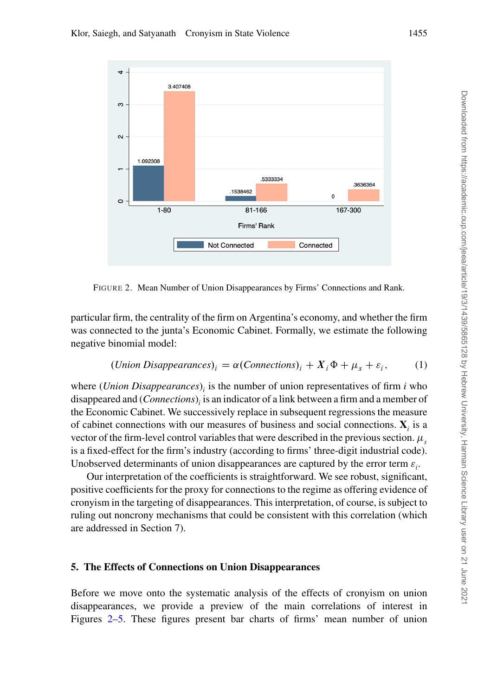<span id="page-16-0"></span>

FIGURE 2. Mean Number of Union Disappearances by Firms' Connections and Rank.

particular firm, the centrality of the firm on Argentina's economy, and whether the firm was connected to the junta's Economic Cabinet. Formally, we estimate the following negative binomial model:

$$
(Union Disappearances)i = \alpha (Connections)i + Xi \Phi + \mus + \varepsiloni,
$$
 (1)

where (*Union Disappearances*)*<sup>i</sup>* is the number of union representatives of firm *i* who disappeared and (*Connections*)*<sup>i</sup>* is an indicator of a link between a firm and a member of the Economic Cabinet. We successively replace in subsequent regressions the measure of cabinet connections with our measures of business and social connections.  $\mathbf{X}_i$  is a vector of the firm-level control variables that were described in the previous section.  $\mu_s$ is a fixed-effect for the firm's industry (according to firms' three-digit industrial code). Unobserved determinants of union disappearances are captured by the error term  $\varepsilon_i$ .

Our interpretation of the coefficients is straightforward. We see robust, significant, positive coefficients for the proxy for connections to the regime as offering evidence of cronyism in the targeting of disappearances. This interpretation, of course, is subject to ruling out noncrony mechanisms that could be consistent with this correlation (which are addressed in Section 7).

# **5. The Effects of Connections on Union Disappearances**

Before we move onto the systematic analysis of the effects of cronyism on union disappearances, we provide a preview of the main correlations of interest in Figures [2](#page-16-0)[–5.](#page-18-0) These figures present bar charts of firms' mean number of union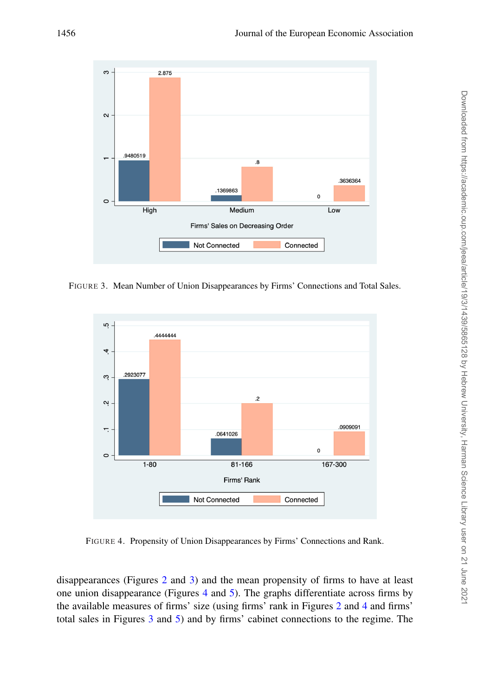<span id="page-17-0"></span>

FIGURE 3. Mean Number of Union Disappearances by Firms' Connections and Total Sales.

<span id="page-17-1"></span>

FIGURE 4. Propensity of Union Disappearances by Firms' Connections and Rank.

disappearances (Figures [2](#page-16-0) and [3\)](#page-17-0) and the mean propensity of firms to have at least one union disappearance (Figures [4](#page-17-1) and [5\)](#page-18-0). The graphs differentiate across firms by the available measures of firms' size (using firms' rank in Figures [2](#page-16-0) and [4](#page-17-1) and firms' total sales in Figures [3](#page-17-0) and [5\)](#page-18-0) and by firms' cabinet connections to the regime. The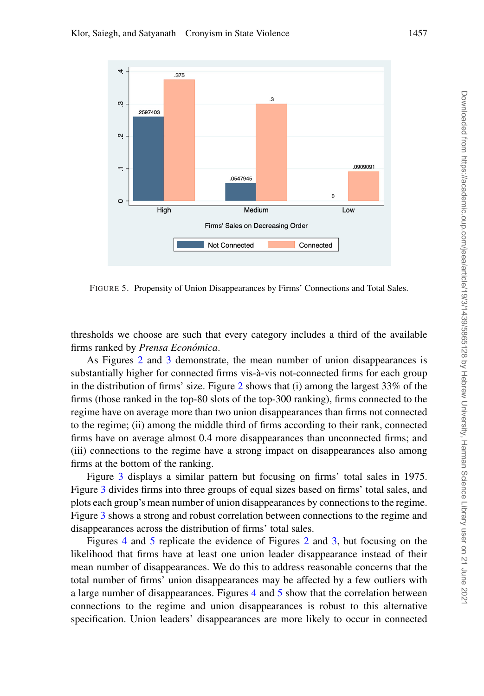<span id="page-18-0"></span>

FIGURE 5. Propensity of Union Disappearances by Firms' Connections and Total Sales.

thresholds we choose are such that every category includes a third of the available firms ranked by *Prensa Económica*.

As Figures [2](#page-16-0) and [3](#page-17-0) demonstrate, the mean number of union disappearances is substantially higher for connected firms vis-à-vis not-connected firms for each group in the distribution of firms' size. Figure [2](#page-16-0) shows that (i) among the largest 33% of the firms (those ranked in the top-80 slots of the top-300 ranking), firms connected to the regime have on average more than two union disappearances than firms not connected to the regime; (ii) among the middle third of firms according to their rank, connected firms have on average almost 0.4 more disappearances than unconnected firms; and (iii) connections to the regime have a strong impact on disappearances also among firms at the bottom of the ranking.

Figure [3](#page-17-0) displays a similar pattern but focusing on firms' total sales in 1975. Figure [3](#page-17-0) divides firms into three groups of equal sizes based on firms' total sales, and plots each group's mean number of union disappearances by connections to the regime. Figure [3](#page-17-0) shows a strong and robust correlation between connections to the regime and disappearances across the distribution of firms' total sales.

Figures [4](#page-17-1) and [5](#page-18-0) replicate the evidence of Figures [2](#page-16-0) and [3,](#page-17-0) but focusing on the likelihood that firms have at least one union leader disappearance instead of their mean number of disappearances. We do this to address reasonable concerns that the total number of firms' union disappearances may be affected by a few outliers with a large number of disappearances. Figures [4](#page-17-1) and [5](#page-18-0) show that the correlation between connections to the regime and union disappearances is robust to this alternative specification. Union leaders' disappearances are more likely to occur in connected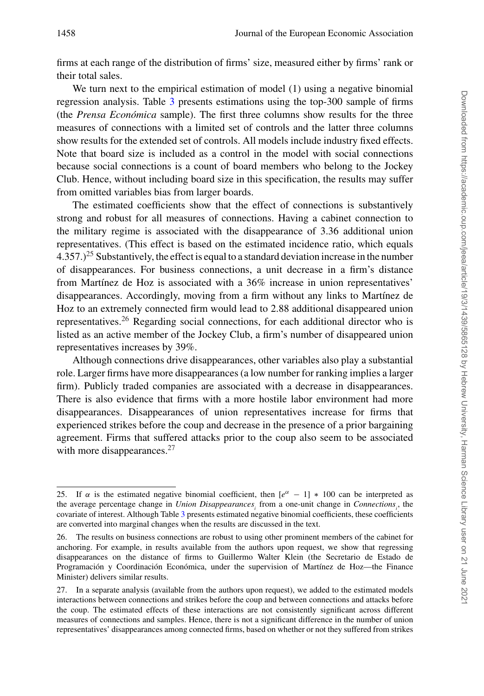firms at each range of the distribution of firms' size, measured either by firms' rank or their total sales.

We turn next to the empirical estimation of model (1) using a negative binomial regression analysis. Table [3](#page-20-0) presents estimations using the top-300 sample of firms (the *Prensa Económica* sample). The first three columns show results for the three measures of connections with a limited set of controls and the latter three columns show results for the extended set of controls. All models include industry fixed effects. Note that board size is included as a control in the model with social connections because social connections is a count of board members who belong to the Jockey Club. Hence, without including board size in this specification, the results may suffer from omitted variables bias from larger boards.

The estimated coefficients show that the effect of connections is substantively strong and robust for all measures of connections. Having a cabinet connection to the military regime is associated with the disappearance of 3.36 additional union representatives. (This effect is based on the estimated incidence ratio, which equals 4.357.)<sup>25</sup> Substantively, the effect is equal to a standard deviation increase in the number of disappearances. For business connections, a unit decrease in a firm's distance from Martínez de Hoz is associated with a  $36\%$  increase in union representatives' disappearances. Accordingly, moving from a firm without any links to Martínez de Hoz to an extremely connected firm would lead to 2.88 additional disappeared union representatives.<sup>26</sup> Regarding social connections, for each additional director who is listed as an active member of the Jockey Club, a firm's number of disappeared union representatives increases by 39%.

Although connections drive disappearances, other variables also play a substantial role. Larger firms have more disappearances (a low number for ranking implies a larger firm). Publicly traded companies are associated with a decrease in disappearances. There is also evidence that firms with a more hostile labor environment had more disappearances. Disappearances of union representatives increase for firms that experienced strikes before the coup and decrease in the presence of a prior bargaining agreement. Firms that suffered attacks prior to the coup also seem to be associated with more disappearances.<sup>27</sup>

<sup>25.</sup> If  $\alpha$  is the estimated negative binomial coefficient, then  $[e^{\alpha} - 1] \times 100$  can be interpreted as the average percentage change in *Union Disappearances*<sub>i</sub> from a one-unit change in *Connections*<sub>i</sub>, the covariate of interest. Although Table [3](#page-20-0) presents estimated negative binomial coefficients, these coefficients are converted into marginal changes when the results are discussed in the text.

<sup>26.</sup> The results on business connections are robust to using other prominent members of the cabinet for anchoring. For example, in results available from the authors upon request, we show that regressing disappearances on the distance of firms to Guillermo Walter Klein (the Secretario de Estado de Programación y Coordinación Económica, under the supervision of Martínez de Hoz—the Finance Minister) delivers similar results.

<sup>27.</sup> In a separate analysis (available from the authors upon request), we added to the estimated models interactions between connections and strikes before the coup and between connections and attacks before the coup. The estimated effects of these interactions are not consistently significant across different measures of connections and samples. Hence, there is not a significant difference in the number of union representatives' disappearances among connected firms, based on whether or not they suffered from strikes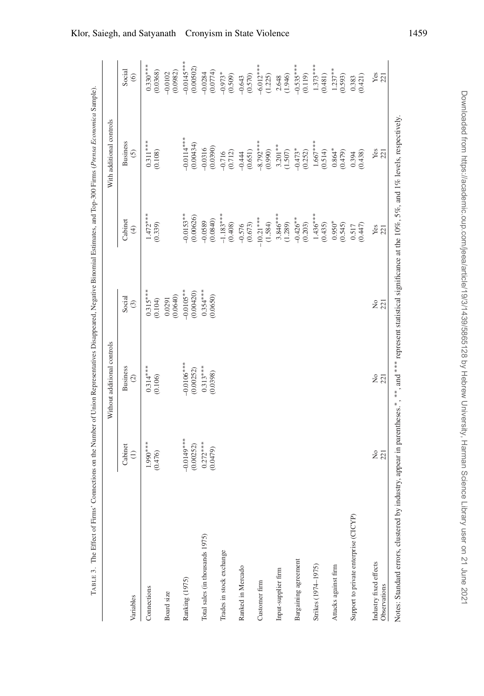<span id="page-20-0"></span>

| $-0.0153**$<br>$-1.183***$<br>(0.00626)<br>$-0.426**$<br>$-10.21***$<br>(0.0840)<br>Cabinet<br>$-0.0589$<br>$0.950*$<br>(1.584)<br>(0.408)<br>(1.289)<br>(0.203)<br>(0.339)<br>(0.673)<br>(0.435)<br>(0.545)<br>$-0.576$<br>0.517<br>$\bigoplus$<br>$0.315***$<br>$-0.0105**$<br>$0.354***$<br>(0.00420)<br>(0.0640)<br>(0.0650)<br>Social<br>0.0291<br>(0.104)<br>$\odot$<br>$-0.0106***$<br><b>Business</b><br>$0.314***$<br>$0.313***$<br>(0.00252)<br>(0.0398)<br>$\odot$<br>(0.106)<br>$-0.0149***$<br>$1.990***$<br>$0.272***$<br>(0.00252)<br>Cabinet<br>(0.0479)<br>$\ominus$<br>(0.476)<br>Support to private enterprise (CICYP)<br>Total sales (in thousands 1975)<br>Trades in stock exchange<br>Bargaining agreement<br>Strikes (1974-1975)<br>Attacks against firm<br>Ranked in Mercado<br>Input-supplier firm<br>Ranking (1975)<br>Customer firm<br>Connections<br>Board size<br>Variables |            | With additional controls         |                             |
|----------------------------------------------------------------------------------------------------------------------------------------------------------------------------------------------------------------------------------------------------------------------------------------------------------------------------------------------------------------------------------------------------------------------------------------------------------------------------------------------------------------------------------------------------------------------------------------------------------------------------------------------------------------------------------------------------------------------------------------------------------------------------------------------------------------------------------------------------------------------------------------------------------|------------|----------------------------------|-----------------------------|
|                                                                                                                                                                                                                                                                                                                                                                                                                                                                                                                                                                                                                                                                                                                                                                                                                                                                                                          |            | <b>Business</b><br>$\odot$       | Social<br>$\circledcirc$    |
|                                                                                                                                                                                                                                                                                                                                                                                                                                                                                                                                                                                                                                                                                                                                                                                                                                                                                                          | $1.472***$ | $0.311***$<br>(0.108)            | $0.330***$<br>(0.0368)      |
|                                                                                                                                                                                                                                                                                                                                                                                                                                                                                                                                                                                                                                                                                                                                                                                                                                                                                                          |            |                                  | (0.0982)<br>$-0.0102$       |
|                                                                                                                                                                                                                                                                                                                                                                                                                                                                                                                                                                                                                                                                                                                                                                                                                                                                                                          |            | $-0.0114***$<br>(0.00434)        | $-0.0145***$<br>(0.00502)   |
|                                                                                                                                                                                                                                                                                                                                                                                                                                                                                                                                                                                                                                                                                                                                                                                                                                                                                                          |            | (0.0390)<br>$-0.0316$            | (0.0774)<br>$-0.0284$       |
|                                                                                                                                                                                                                                                                                                                                                                                                                                                                                                                                                                                                                                                                                                                                                                                                                                                                                                          |            | (0.712)<br>$-0.716$              | $-0.973*$<br>(0.509)        |
|                                                                                                                                                                                                                                                                                                                                                                                                                                                                                                                                                                                                                                                                                                                                                                                                                                                                                                          |            | $-0.444$                         | $-0.643$                    |
|                                                                                                                                                                                                                                                                                                                                                                                                                                                                                                                                                                                                                                                                                                                                                                                                                                                                                                          |            | $-8.792***$<br>(0.651)           | $-6.012***$<br>(0.570)      |
|                                                                                                                                                                                                                                                                                                                                                                                                                                                                                                                                                                                                                                                                                                                                                                                                                                                                                                          | $3.846***$ | $3.201***$<br>(0.990)<br>(1.507) | (1.225)<br>(1.946)<br>2.648 |
|                                                                                                                                                                                                                                                                                                                                                                                                                                                                                                                                                                                                                                                                                                                                                                                                                                                                                                          |            | $-0.473*$<br>(0.252)             | $-0.535***$<br>(0.119)      |
|                                                                                                                                                                                                                                                                                                                                                                                                                                                                                                                                                                                                                                                                                                                                                                                                                                                                                                          | $1.436***$ | $1.667***$<br>(0.514)            | $1.373***$<br>(0.481)       |
|                                                                                                                                                                                                                                                                                                                                                                                                                                                                                                                                                                                                                                                                                                                                                                                                                                                                                                          |            | $0.864*$<br>(0.479)              | $1.237***$<br>(0.593)       |
|                                                                                                                                                                                                                                                                                                                                                                                                                                                                                                                                                                                                                                                                                                                                                                                                                                                                                                          | (0.447)    | (0.438)<br>0.394                 | (0.421)<br>0.383            |
| $\frac{Yes}{221}$<br>221<br>221<br>$2\overline{2}$<br>Industry fixed effects<br>Observations                                                                                                                                                                                                                                                                                                                                                                                                                                                                                                                                                                                                                                                                                                                                                                                                             |            | $\frac{\text{Yes}}{221}$         | $Yes$<br>221                |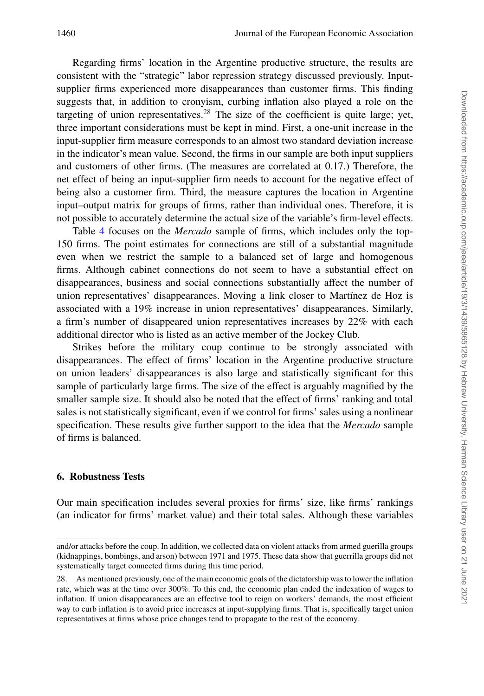Regarding firms' location in the Argentine productive structure, the results are consistent with the "strategic" labor repression strategy discussed previously. Inputsupplier firms experienced more disappearances than customer firms. This finding suggests that, in addition to cronyism, curbing inflation also played a role on the targeting of union representatives.<sup>28</sup> The size of the coefficient is quite large; yet, three important considerations must be kept in mind. First, a one-unit increase in the input-supplier firm measure corresponds to an almost two standard deviation increase in the indicator's mean value. Second, the firms in our sample are both input suppliers and customers of other firms. (The measures are correlated at 0.17.) Therefore, the net effect of being an input-supplier firm needs to account for the negative effect of being also a customer firm. Third, the measure captures the location in Argentine input–output matrix for groups of firms, rather than individual ones. Therefore, it is not possible to accurately determine the actual size of the variable's firm-level effects.

Table [4](#page-22-0) focuses on the *Mercado* sample of firms, which includes only the top-150 firms. The point estimates for connections are still of a substantial magnitude even when we restrict the sample to a balanced set of large and homogenous firms. Although cabinet connections do not seem to have a substantial effect on disappearances, business and social connections substantially affect the number of union representatives' disappearances. Moving a link closer to Martínez de Hoz is associated with a 19% increase in union representatives' disappearances. Similarly, a firm's number of disappeared union representatives increases by 22% with each additional director who is listed as an active member of the Jockey Club.

Strikes before the military coup continue to be strongly associated with disappearances. The effect of firms' location in the Argentine productive structure on union leaders' disappearances is also large and statistically significant for this sample of particularly large firms. The size of the effect is arguably magnified by the smaller sample size. It should also be noted that the effect of firms' ranking and total sales is not statistically significant, even if we control for firms' sales using a nonlinear specification. These results give further support to the idea that the *Mercado* sample of firms is balanced.

# **6. Robustness Tests**

Our main specification includes several proxies for firms' size, like firms' rankings (an indicator for firms' market value) and their total sales. Although these variables

and/or attacks before the coup. In addition, we collected data on violent attacks from armed guerilla groups (kidnappings, bombings, and arson) between 1971 and 1975. These data show that guerrilla groups did not systematically target connected firms during this time period.

<sup>28.</sup> As mentioned previously, one of the main economic goals of the dictatorship was to lower the inflation rate, which was at the time over 300%. To this end, the economic plan ended the indexation of wages to inflation. If union disappearances are an effective tool to reign on workers' demands, the most efficient way to curb inflation is to avoid price increases at input-supplying firms. That is, specifically target union representatives at firms whose price changes tend to propagate to the rest of the economy.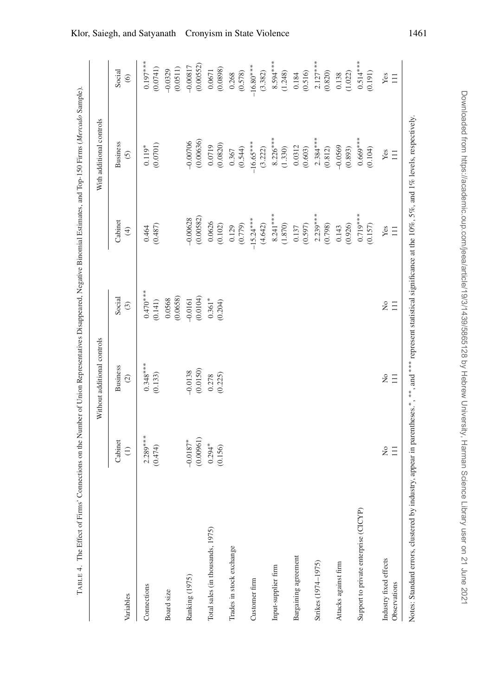<span id="page-22-0"></span>

|                                        |                         | Without additional controls |                        |                                                                                                                                  | With additional controls          |                          |
|----------------------------------------|-------------------------|-----------------------------|------------------------|----------------------------------------------------------------------------------------------------------------------------------|-----------------------------------|--------------------------|
| Variables                              | Cabinet<br>$\ominus$    | <b>Business</b><br>$\odot$  | Social<br>$\odot$      | Cabinet<br>$\bigoplus$                                                                                                           | <b>Business</b><br>$\overline{c}$ | Social<br>$\circledcirc$ |
| Connections                            | $2.289***$<br>(0.474)   | $0.348***$<br>(0.133)       | $0.470***$<br>(0.141)  | (0.487)<br>0.464                                                                                                                 | (0.0701)<br>$0.119*$              | $0.197***$<br>(0.0741)   |
| Board size                             |                         |                             | (0.0658)<br>0.0568     |                                                                                                                                  |                                   | (0.0511)<br>$-0.0329$    |
| Ranking (1975)                         | (0.00961)<br>$-0.0187*$ | (0.0150)<br>$-0.0138$       | (0.0104)<br>$-0.0161$  | (0.00582)<br>$-0.00628$                                                                                                          | (0.00636)<br>$-0.00706$           | (0.00552)<br>$-0.00817$  |
| Total sales (in thousands, 1975)       | $0.294*$<br>(0.156)     | (0.225)<br>0.278            | $0.361*$<br>(0.204)    | 0.0626<br>(0.102)                                                                                                                | (0.0820)<br>0.0719                | (0.0898)<br>0.0671       |
| Trades in stock exchange               |                         |                             |                        | (0.779)<br>0.129                                                                                                                 | (0.544)<br>0.367                  | (0.578)<br>0.268         |
| Customer firm                          |                         |                             |                        | $-15.24***$<br>(4.642)                                                                                                           | $-16.65***$<br>(3.222)            | $-16.80***$<br>(3.382)   |
| Input-supplier firm                    |                         |                             |                        | $8.241***$<br>(1.870)                                                                                                            | $8.226***$<br>(1.330)             | $8.594***$<br>(1.248)    |
| Bargaining agreement                   |                         |                             |                        | (0.597)<br>0.137                                                                                                                 | 0.0312<br>(0.603)                 | (0.516)<br>0.184         |
| Strikes (1974-1975)                    |                         |                             |                        | $2.239***$<br>(0.798)                                                                                                            | $2.384***$<br>(0.812)             | $2.127***$<br>(0.820)    |
| Attacks against firm                   |                         |                             |                        | (0.926)<br>0.143                                                                                                                 | $-0.0569$<br>(0.893)              | (1.022)<br>0.138         |
| Support to private enterprise (CICYP)  |                         |                             |                        | $0.719***$<br>(0.157)                                                                                                            | $0.669***$<br>(0.104)             | $0.514***$<br>(0.191)    |
| Industry fixed effects<br>Observations | $\tilde{z}$<br>$\Xi$    | $\frac{1}{2}$<br>$\Xi$      | $\frac{1}{2}$<br>$\Xi$ | Yes<br>$\Xi$                                                                                                                     | Yes<br>$\equiv$                   | Yes<br>$\Xi$             |
| Notes: Standard errors, clustered by   |                         |                             |                        | industry, appear in parentheses.*, ***, and **** represent statistical significance at the 10%, 5%, and 1% levels, respectively. |                                   |                          |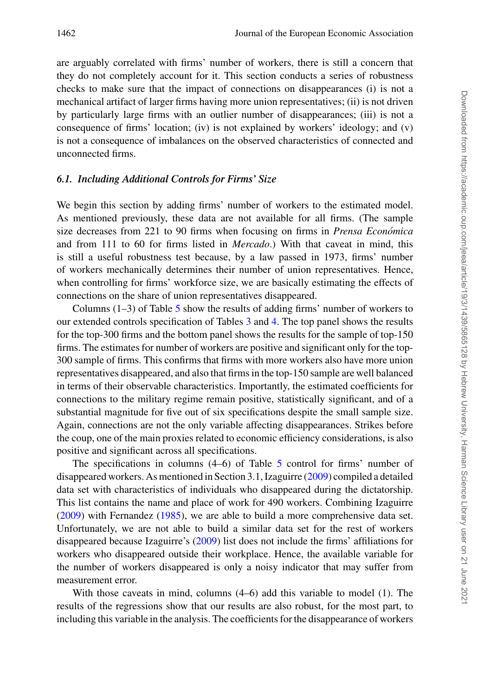are arguably correlated with firms' number of workers, there is still a concern that they do not completely account for it. This section conducts a series of robustness checks to make sure that the impact of connections on disappearances (i) is not a mechanical artifact of larger firms having more union representatives; (ii) is not driven by particularly large firms with an outlier number of disappearances; (iii) is not a consequence of firms' location; (iv) is not explained by workers' ideology; and (v) is not a consequence of imbalances on the observed characteristics of connected and unconnected firms.

### *6.1. Including Additional Controls for Firms' Size*

We begin this section by adding firms' number of workers to the estimated model. As mentioned previously, these data are not available for all firms. (The sample size decreases from 221 to 90 firms when focusing on firms in *Prensa Economica ´* and from 111 to 60 for firms listed in *Mercado*.) With that caveat in mind, this is still a useful robustness test because, by a law passed in 1973, firms' number of workers mechanically determines their number of union representatives. Hence, when controlling for firms' workforce size, we are basically estimating the effects of connections on the share of union representatives disappeared.

Columns  $(1-3)$  of Table [5](#page-24-0) show the results of adding firms' number of workers to our extended controls specification of Tables [3](#page-20-0) and [4.](#page-22-0) The top panel shows the results for the top-300 firms and the bottom panel shows the results for the sample of top-150 firms. The estimates for number of workers are positive and significant only for the top-300 sample of firms. This confirms that firms with more workers also have more union representatives disappeared, and also that firms in the top-150 sample are well balanced in terms of their observable characteristics. Importantly, the estimated coefficients for connections to the military regime remain positive, statistically significant, and of a substantial magnitude for five out of six specifications despite the small sample size. Again, connections are not the only variable affecting disappearances. Strikes before the coup, one of the main proxies related to economic efficiency considerations, is also positive and significant across all specifications.

The specifications in columns (4–6) of Table [5](#page-24-0) control for firms' number of disappeared workers. As mentioned in Section 3.1, Izaguirre [\(2009\)](#page-47-18) compiled a detailed data set with characteristics of individuals who disappeared during the dictatorship. This list contains the name and place of work for 490 workers. Combining Izaguirre [\(2009\)](#page-47-18) with Fernandez [\(1985\)](#page-47-19), we are able to build a more comprehensive data set. Unfortunately, we are not able to build a similar data set for the rest of workers disappeared because Izaguirre's [\(2009\)](#page-47-18) list does not include the firms' affiliations for workers who disappeared outside their workplace. Hence, the available variable for the number of workers disappeared is only a noisy indicator that may suffer from measurement error.

With those caveats in mind, columns (4–6) add this variable to model (1). The results of the regressions show that our results are also robust, for the most part, to including this variable in the analysis. The coefficients for the disappearance of workers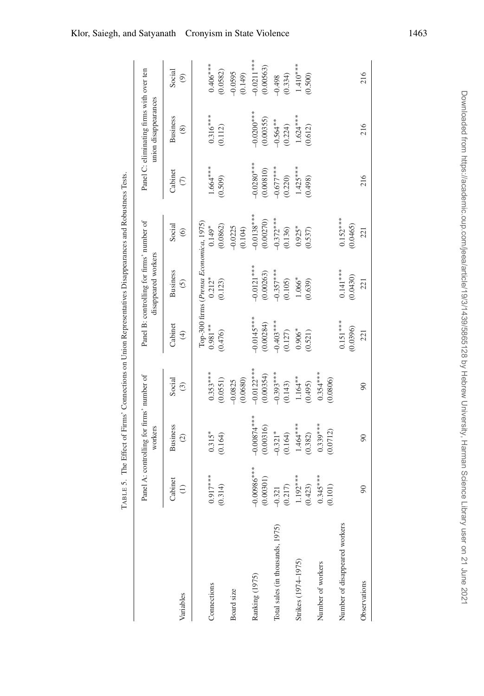|                                  |                            | Panel A: controlling for firms' number of<br>workers |                             |                           | Panel B: controlling for firms' number of<br>disappeared workers |                             |                            | Panel C: eliminating firms with over ten<br>union disappearances |                           |
|----------------------------------|----------------------------|------------------------------------------------------|-----------------------------|---------------------------|------------------------------------------------------------------|-----------------------------|----------------------------|------------------------------------------------------------------|---------------------------|
| Variables                        | Cabinet<br>$\widehat{\Xi}$ | <b>Business</b><br>$\widehat{c}$                     | Social<br>$\widehat{\odot}$ | Cabinet<br>$\bigoplus$    | <b>Business</b><br>$\odot$                                       | Social<br>$\widehat{\circ}$ | Cabinet<br>$\widehat{\in}$ | <b>Business</b><br>$\circledcirc$                                | Social<br>ම               |
| Connections                      | $0.917***$<br>(0.314)      | $0.315*$<br>(0.164)                                  | $0.353***$<br>(0.0551)      | $0.981***$<br>(0.476)     | Top-300 firms (Prensa Economica, 1975)<br>$0.212*$<br>(0.123)    | (0.0862)<br>$0.149*$        | $1.664***$<br>(0.509)      | $0.316***$<br>(0.112)                                            | $0.406***$<br>(0.0582)    |
| Board size                       |                            |                                                      | (0.0680)<br>$-0.0825$       |                           |                                                                  | $-0.0225$<br>(0.104)        |                            |                                                                  | $-0.0595$<br>(0.149)      |
| Ranking (1975)                   | $-0.00986***$<br>0.00301   | $-0.00874***$<br>(0.00316)                           | $-0.0122***$<br>(0.00354)   | $-0.0145***$<br>(0.00284) | $-0.0121***$<br>(0.00263)                                        | $-0.0138***$<br>(0.00270)   | $-0.0280***$<br>(0.00810)  | $-0.0200$ **<br>(0.00355)                                        | $-0.0211***$<br>(0.00563) |
| Total sales (in thousands, 1975) | 0.217<br>$-0.321$          | $-0.321*$<br>(0.164)                                 | $-0.393***$<br>(0.143)      | $-0.403***$<br>(0.127)    | $-0.357***$<br>(0.105)                                           | $-0.372***$<br>(0.136)      | $-0.677***$<br>(0.220)     | $-0.564**$<br>(0.224)                                            | (0.334)<br>$-0.498$       |
| Strikes (1974–1975)              | $1.192***$<br>0.423)       | $1.464***$<br>(0.382)                                | $1.164***$<br>(0.495)       | $0.906*$<br>(0.521)       | 1.066*<br>(0.639)                                                | $0.925*$<br>(0.537)         | $1.425***$<br>(0.498)      | $1.624***$<br>(0.612)                                            | $1.410***$<br>(0.500)     |
| Number of workers                | $0.345***$<br>0.101)       | $0.339***$<br>(0.0712)                               | $0.354***$<br>0.0806)       |                           |                                                                  |                             |                            |                                                                  |                           |
| Number of disappeared workers    |                            |                                                      |                             | $0.151***$<br>(0.0396)    | $0.141***$<br>(0.0430)                                           | $0.152***$<br>(0.0465)      |                            |                                                                  |                           |
| Observations                     | $\infty$                   | $\infty$                                             | $\overline{6}$              | 221                       | 221                                                              | 221                         | 216                        | 216                                                              | 216                       |
|                                  |                            |                                                      |                             |                           |                                                                  |                             |                            |                                                                  |                           |

<span id="page-24-0"></span>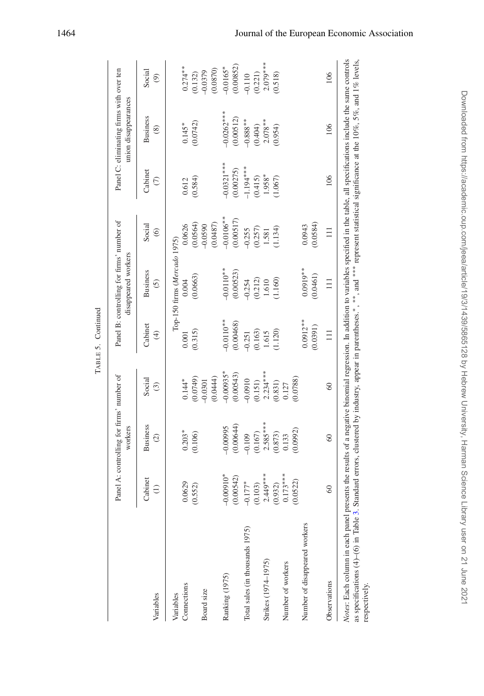|                                                                                                                                                                                                                                                                                                                                                                                                |                            | Panel A: controlling for firms' number of<br>workers |                             |                          | Panel B: controlling for firms' number of<br>disappeared workers |                             |                           | Panel C: eliminating firms with over ten<br>union disappearances |                         |
|------------------------------------------------------------------------------------------------------------------------------------------------------------------------------------------------------------------------------------------------------------------------------------------------------------------------------------------------------------------------------------------------|----------------------------|------------------------------------------------------|-----------------------------|--------------------------|------------------------------------------------------------------|-----------------------------|---------------------------|------------------------------------------------------------------|-------------------------|
| Variables                                                                                                                                                                                                                                                                                                                                                                                      | Cabinet<br>$\widehat{\Xi}$ | <b>Business</b><br>$\odot$                           | Social<br>$\widehat{\odot}$ | Cabinet<br>$\bigoplus$   | <b>Business</b><br>$\tilde{c}$                                   | Social<br>$\widehat{\circ}$ | Cabinet<br>E              | <b>Business</b><br>$\circledcirc$                                | Social<br>ම             |
| Variables                                                                                                                                                                                                                                                                                                                                                                                      |                            |                                                      |                             |                          | Top-150 firms (Mercado 1975)                                     |                             |                           |                                                                  |                         |
| Connections                                                                                                                                                                                                                                                                                                                                                                                    | 0.0629<br>(0.552)          | $0.203*$<br>(0.106)                                  | (0.0749)<br>$0.144*$        | (0.315)<br>0.001         | (0.0663)<br>0.004                                                | (0.0564)<br>0.0626          | (0.584)<br>0.612          | (0.0742)<br>$0.145*$                                             | $0.274**$<br>(0.132)    |
| Board size                                                                                                                                                                                                                                                                                                                                                                                     |                            |                                                      | (0.0444)<br>$-0.0301$       |                          |                                                                  | (0.0487)<br>$-0.0590$       |                           |                                                                  | (0.0870)<br>$-0.0379$   |
| Ranking (1975)                                                                                                                                                                                                                                                                                                                                                                                 | $-0.00910*$<br>(0.00542)   | (0.00644)<br>$-0.00995$                              | $-0.00935*$<br>(0.00543)    | $-0.0110**$<br>(0.00468) | $-0.0110**$<br>(0.00523)                                         | $-0.0106***$<br>(0.00517)   | $-0.0321***$<br>(0.00275) | $-0.0262***$<br>(0.00512)                                        | (0.00852)<br>$-0.0165*$ |
| Total sales (in thousands 1975)                                                                                                                                                                                                                                                                                                                                                                | $-0.177*$<br>(0.103)       | (0.167)<br>$-0.109$                                  | $-0.0910$<br>(0.151)        | (0.163)<br>$-0.251$      | (0.212)<br>$-0.254$                                              | (0.257)<br>$-0.255$         | $-1.194***$<br>(0.415)    | $-0.888***$<br>(0.404)                                           | (0.221)<br>$-0.110$     |
| Strikes (1974–1975)                                                                                                                                                                                                                                                                                                                                                                            | $2.449***$<br>(0.932)      | $2.585***$<br>(0.873)                                | $2.234***$<br>(0.831)       | (1.120)<br>1.615         | 1.160)<br>1.610                                                  | (1.134)<br>1.581            | 1.958*<br>(1.067)         | $2.078**$<br>(0.954)                                             | $2.079***$<br>(0.518)   |
| Number of workers                                                                                                                                                                                                                                                                                                                                                                              | $0.173***$<br>(0.0522)     | (0.0992)<br>0.133                                    | (0.0788)<br>0.127           |                          |                                                                  |                             |                           |                                                                  |                         |
| Number of disappeared workers                                                                                                                                                                                                                                                                                                                                                                  |                            |                                                      |                             | $0.0912***$<br>(0.0391)  | $0.0919**$<br>(0.0461)                                           | (0.0584)<br>0.0943          |                           |                                                                  |                         |
| Observations                                                                                                                                                                                                                                                                                                                                                                                   | $\degree$                  | $\degree$                                            | 60                          | $\equiv$                 | $\equiv$                                                         | $\equiv$                    | 106                       | 106                                                              | 106                     |
| Notes: Each column in each panel presents the results of a negative binomial regression. In addition to variables specified in the table, all specifications include the same controls<br>as specifications (4)-(6) in Table 3. Standard errors, clustered by industry, appear in parentheses.*,**, and *** represent statistical significance at the 10%, 5%, and 1% levels,<br>respectively. |                            |                                                      |                             |                          |                                                                  |                             |                           |                                                                  |                         |

<span id="page-25-0"></span>TABLE 5. Continued TABLE 5. Continued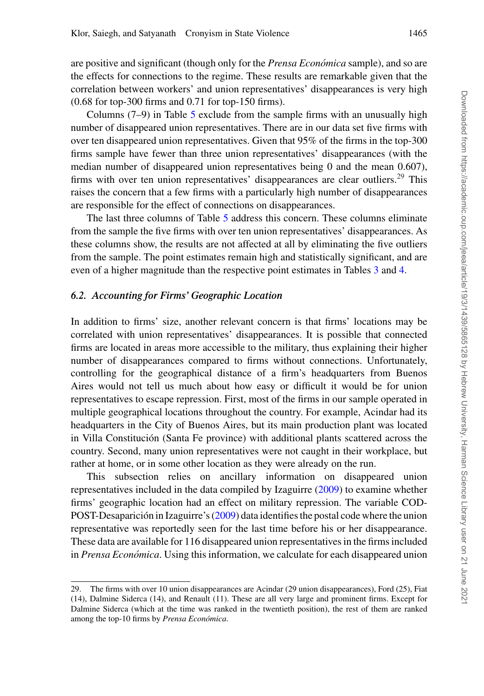are positive and significant (though only for the *Prensa Económica* sample), and so are the effects for connections to the regime. These results are remarkable given that the correlation between workers' and union representatives' disappearances is very high (0.68 for top-300 firms and 0.71 for top-150 firms).

Columns  $(7-9)$  in Table [5](#page-24-0) exclude from the sample firms with an unusually high number of disappeared union representatives. There are in our data set five firms with over ten disappeared union representatives. Given that 95% of the firms in the top-300 firms sample have fewer than three union representatives' disappearances (with the median number of disappeared union representatives being 0 and the mean 0.607), firms with over ten union representatives' disappearances are clear outliers.<sup>29</sup> This raises the concern that a few firms with a particularly high number of disappearances are responsible for the effect of connections on disappearances.

The last three columns of Table [5](#page-24-0) address this concern. These columns eliminate from the sample the five firms with over ten union representatives' disappearances. As these columns show, the results are not affected at all by eliminating the five outliers from the sample. The point estimates remain high and statistically significant, and are even of a higher magnitude than the respective point estimates in Tables [3](#page-20-0) and [4.](#page-22-0)

# *6.2. Accounting for Firms' Geographic Location*

In addition to firms' size, another relevant concern is that firms' locations may be correlated with union representatives' disappearances. It is possible that connected firms are located in areas more accessible to the military, thus explaining their higher number of disappearances compared to firms without connections. Unfortunately, controlling for the geographical distance of a firm's headquarters from Buenos Aires would not tell us much about how easy or difficult it would be for union representatives to escape repression. First, most of the firms in our sample operated in multiple geographical locations throughout the country. For example, Acindar had its headquarters in the City of Buenos Aires, but its main production plant was located in Villa Constitución (Santa Fe province) with additional plants scattered across the country. Second, many union representatives were not caught in their workplace, but rather at home, or in some other location as they were already on the run.

This subsection relies on ancillary information on disappeared union representatives included in the data compiled by Izaguirre [\(2009\)](#page-47-18) to examine whether firms' geographic location had an effect on military repression. The variable COD-POST-Desaparición in Izaguirre's ([2009\)](#page-47-18) data identifies the postal code where the union representative was reportedly seen for the last time before his or her disappearance. These data are available for 116 disappeared union representatives in the firms included in *Prensa Económica*. Using this information, we calculate for each disappeared union

<sup>29.</sup> The firms with over 10 union disappearances are Acindar (29 union disappearances), Ford (25), Fiat (14), Dalmine Siderca (14), and Renault (11). These are all very large and prominent firms. Except for Dalmine Siderca (which at the time was ranked in the twentieth position), the rest of them are ranked among the top-10 firms by *Prensa Económica*.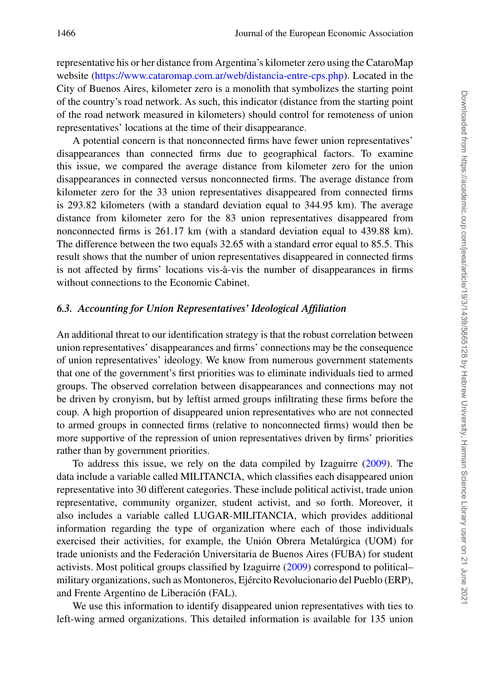representative his or her distance from Argentina's kilometer zero using the CataroMap website [\(https://www.cataromap.com.ar/web/distancia-entre-cps.php\)](https://www.cataromap.com.ar/web/distancia-entre-cps.php). Located in the City of Buenos Aires, kilometer zero is a monolith that symbolizes the starting point of the country's road network. As such, this indicator (distance from the starting point of the road network measured in kilometers) should control for remoteness of union representatives' locations at the time of their disappearance.

A potential concern is that nonconnected firms have fewer union representatives' disappearances than connected firms due to geographical factors. To examine this issue, we compared the average distance from kilometer zero for the union disappearances in connected versus nonconnected firms. The average distance from kilometer zero for the 33 union representatives disappeared from connected firms is 293.82 kilometers (with a standard deviation equal to 344.95 km). The average distance from kilometer zero for the 83 union representatives disappeared from nonconnected firms is 261.17 km (with a standard deviation equal to 439.88 km). The difference between the two equals 32.65 with a standard error equal to 85.5. This result shows that the number of union representatives disappeared in connected firms is not affected by firms' locations vis-à-vis the number of disappearances in firms without connections to the Economic Cabinet.

# *6.3. Accounting for Union Representatives' Ideological Affiliation*

An additional threat to our identification strategy is that the robust correlation between union representatives' disappearances and firms' connections may be the consequence of union representatives' ideology. We know from numerous government statements that one of the government's first priorities was to eliminate individuals tied to armed groups. The observed correlation between disappearances and connections may not be driven by cronyism, but by leftist armed groups infiltrating these firms before the coup. A high proportion of disappeared union representatives who are not connected to armed groups in connected firms (relative to nonconnected firms) would then be more supportive of the repression of union representatives driven by firms' priorities rather than by government priorities.

To address this issue, we rely on the data compiled by Izaguirre [\(2009\)](#page-47-18). The data include a variable called MILITANCIA, which classifies each disappeared union representative into 30 different categories. These include political activist, trade union representative, community organizer, student activist, and so forth. Moreover, it also includes a variable called LUGAR-MILITANCIA, which provides additional information regarding the type of organization where each of those individuals exercised their activities, for example, the Unión Obrera Metalúrgica (UOM) for trade unionists and the Federacion Universitaria de Buenos Aires (FUBA) for student ´ activists. Most political groups classified by Izaguirre [\(2009\)](#page-47-18) correspond to political– military organizations, such as Montoneros, Ejercito Revolucionario del Pueblo (ERP), ´ and Frente Argentino de Liberación (FAL).

We use this information to identify disappeared union representatives with ties to left-wing armed organizations. This detailed information is available for 135 union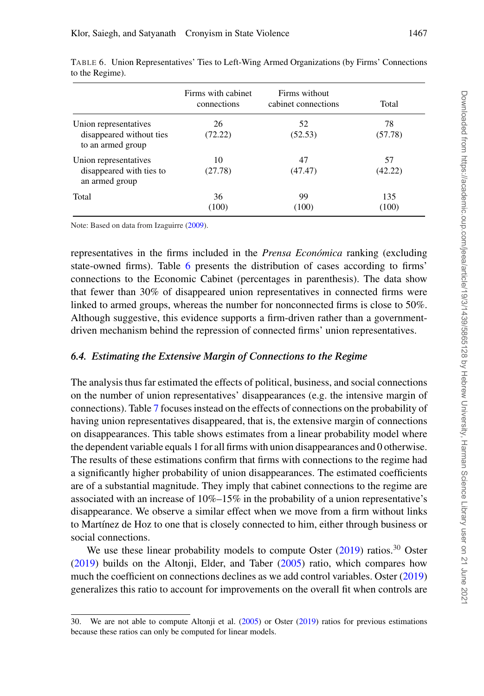|                                                                        | Firms with cabinet<br>connections | Firms without<br>cabinet connections | Total         |
|------------------------------------------------------------------------|-----------------------------------|--------------------------------------|---------------|
| Union representatives<br>disappeared without ties<br>to an armed group | 26<br>(72.22)                     | 52<br>(52.53)                        | 78<br>(57.78) |
| Union representatives<br>disappeared with ties to<br>an armed group    | 10<br>(27.78)                     | 47<br>(47.47)                        | 57<br>(42.22) |
| Total                                                                  | 36<br>(100)                       | 99<br>(100)                          | 135<br>(100)  |

<span id="page-28-0"></span>TABLE 6. Union Representatives' Ties to Left-Wing Armed Organizations (by Firms' Connections to the Regime).

Note: Based on data from Izaguirre [\(2009\)](#page-47-18).

representatives in the firms included in the *Prensa Económica* ranking (excluding state-owned firms). Table [6](#page-28-0) presents the distribution of cases according to firms' connections to the Economic Cabinet (percentages in parenthesis). The data show that fewer than 30% of disappeared union representatives in connected firms were linked to armed groups, whereas the number for nonconnected firms is close to 50%. Although suggestive, this evidence supports a firm-driven rather than a governmentdriven mechanism behind the repression of connected firms' union representatives.

# *6.4. Estimating the Extensive Margin of Connections to the Regime*

The analysis thus far estimated the effects of political, business, and social connections on the number of union representatives' disappearances (e.g. the intensive margin of connections). Table [7](#page-29-0) focuses instead on the effects of connections on the probability of having union representatives disappeared, that is, the extensive margin of connections on disappearances. This table shows estimates from a linear probability model where the dependent variable equals 1 for all firms with union disappearances and 0 otherwise. The results of these estimations confirm that firms with connections to the regime had a significantly higher probability of union disappearances. The estimated coefficients are of a substantial magnitude. They imply that cabinet connections to the regime are associated with an increase of  $10\%-15\%$  in the probability of a union representative's disappearance. We observe a similar effect when we move from a firm without links to Mart´ınez de Hoz to one that is closely connected to him, either through business or social connections.

We use these linear probability models to compute Oster  $(2019)$  ratios.<sup>30</sup> Oster [\(2019\)](#page-47-24) builds on the Altonji, Elder, and Taber [\(2005\)](#page-46-20) ratio, which compares how much the coefficient on connections declines as we add control variables. Oster [\(2019\)](#page-47-24) generalizes this ratio to account for improvements on the overall fit when controls are

<sup>30.</sup> We are not able to compute Altonji et al. [\(2005\)](#page-46-20) or Oster [\(2019\)](#page-47-24) ratios for previous estimations because these ratios can only be computed for linear models.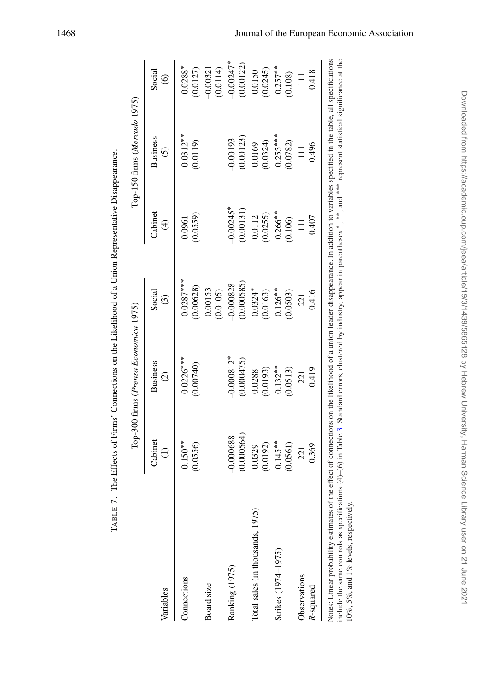|                                  |             | Top-300 firms (Prensa Economica 1975) |                     |                         | Top-150 firms (Mercado 1975) |                        |
|----------------------------------|-------------|---------------------------------------|---------------------|-------------------------|------------------------------|------------------------|
| Variables                        | Cabinet     | <b>Business</b>                       | Social              | Cabine                  | <b>Business</b>              | Social                 |
|                                  | $\ominus$   | $\widehat{c}$                         | $\odot$             | $\widehat{\mathcal{F}}$ | $\tilde{c}$                  | $\circledcirc$         |
| Connections                      | $0.150**$   | $0.0226***$                           | $0.0287***$         | (0.0559)                | $0.0312**$                   | $0.0288*$              |
|                                  | (0.0556)    | (0.00740)                             | 0.00628)            | 0.0961                  | (0.0119)                     | (0.0127)               |
| Board size                       |             |                                       | 0.00153<br>(0.0105) |                         |                              | $-0.00321$<br>(0.0114) |
| Ranking (1975)                   | 0.000564    | $-0.000812*$                          | (0.000585)          | $0.00245*$              | (0.00123)                    | $-0.00247*$            |
|                                  | $-0.000688$ | (0.000475)                            | 0.000828            | (0.00131)               | 0.00193                      | (0.00122)              |
| Total sales (in thousands, 1975) | 0.0192      | (0.0193)                              | $0.0324*$           | (0.0255)                | (0.0324)                     | (0.0245)               |
|                                  | 0.0329      | 0.0288                                | (0.0163)            | 0.0112                  | 0.0169                       | 0.0150                 |
| Strikes (1974–1975)              | $0.145**$   | $0.132**$                             | $0.126**$           | $0.266***$              | $0.253***$                   | $0.257***$             |
|                                  | 0.0561)     | (0.0513)                              | (0.0503)            | (0.106)                 | (0.0782)                     | (0.108)                |
| Observations                     | 0.369       | 0.419                                 | 0.416               | 0.407                   | 0.496                        | 0.418                  |
| R-squared                        | 221         | 221                                   | 221                 | $\Xi$                   | 目                            | Ξ                      |

<span id="page-29-0"></span>TABLE 7. The Effects of Firms' Connections on the Likelihood of a Union Representative Disappearance. TABLE 7. The Effects of Firms' Connections on the Likelihood of a Union Representative Disappearance. represent statistical significance at the represent statistical significance at the -, and - $^*$  . include the same controls as specifications  $(4)-(6)$  in Table [3.](#page-20-0) Standard errors, clustered by industry, appear in parentheses.<sup>\*</sup> 10%, 5%, and 1% levels, respectively. 10%, 5%, and 1% levels, respectively.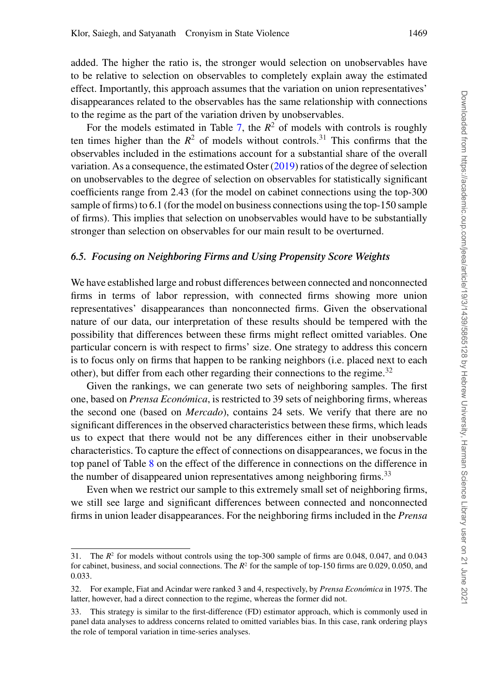added. The higher the ratio is, the stronger would selection on unobservables have to be relative to selection on observables to completely explain away the estimated effect. Importantly, this approach assumes that the variation on union representatives' disappearances related to the observables has the same relationship with connections to the regime as the part of the variation driven by unobservables.

For the models estimated in Table [7,](#page-29-0) the  $R^2$  of models with controls is roughly ten times higher than the  $R^2$  of models without controls.<sup>31</sup> This confirms that the observables included in the estimations account for a substantial share of the overall variation. As a consequence, the estimated Oster [\(2019\)](#page-47-24) ratios of the degree of selection on unobservables to the degree of selection on observables for statistically significant coefficients range from 2.43 (for the model on cabinet connections using the top-300 sample of firms) to 6.1 (for the model on business connections using the top-150 sample of firms). This implies that selection on unobservables would have to be substantially stronger than selection on observables for our main result to be overturned.

### *6.5. Focusing on Neighboring Firms and Using Propensity Score Weights*

We have established large and robust differences between connected and nonconnected firms in terms of labor repression, with connected firms showing more union representatives' disappearances than nonconnected firms. Given the observational nature of our data, our interpretation of these results should be tempered with the possibility that differences between these firms might reflect omitted variables. One particular concern is with respect to firms' size. One strategy to address this concern is to focus only on firms that happen to be ranking neighbors (i.e. placed next to each other), but differ from each other regarding their connections to the regime.<sup>32</sup>

Given the rankings, we can generate two sets of neighboring samples. The first one, based on *Prensa Económica*, is restricted to 39 sets of neighboring firms, whereas the second one (based on *Mercado*), contains 24 sets. We verify that there are no significant differences in the observed characteristics between these firms, which leads us to expect that there would not be any differences either in their unobservable characteristics. To capture the effect of connections on disappearances, we focus in the top panel of Table [8](#page-31-0) on the effect of the difference in connections on the difference in the number of disappeared union representatives among neighboring firms.<sup>33</sup>

Even when we restrict our sample to this extremely small set of neighboring firms, we still see large and significant differences between connected and nonconnected firms in union leader disappearances. For the neighboring firms included in the *Prensa*

<sup>31.</sup> The  $R^2$  for models without controls using the top-300 sample of firms are 0.048, 0.047, and 0.043 for cabinet, business, and social connections. The  $R^2$  for the sample of top-150 firms are 0.029, 0.050, and 0.033.

<sup>32.</sup> For example, Fiat and Acindar were ranked 3 and 4, respectively, by *Prensa Economica ´* in 1975. The latter, however, had a direct connection to the regime, whereas the former did not.

<sup>33.</sup> This strategy is similar to the first-difference (FD) estimator approach, which is commonly used in panel data analyses to address concerns related to omitted variables bias. In this case, rank ordering plays the role of temporal variation in time-series analyses.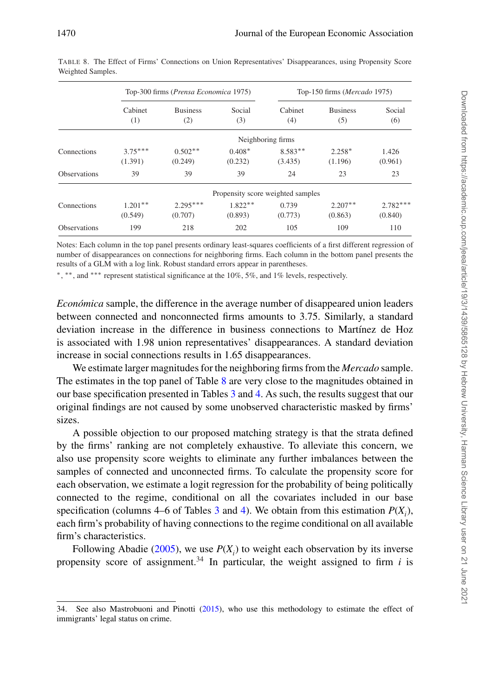|                     |                      | Top-300 firms (Prensa Economica 1975) |                                   |                      | Top-150 firms (Mercado 1975) |                       |
|---------------------|----------------------|---------------------------------------|-----------------------------------|----------------------|------------------------------|-----------------------|
|                     | Cabinet<br>(1)       | <b>Business</b><br>(2)                | Social<br>(3)                     | Cabinet<br>(4)       | <b>Business</b><br>(5)       | Social<br>(6)         |
|                     |                      |                                       |                                   | Neighboring firms    |                              |                       |
| Connections         | $3.75***$<br>(1.391) | $0.502**$<br>(0.249)                  | $0.408*$<br>(0.232)               | $8.583**$<br>(3.435) | $2.258*$<br>(1.196)          | 1.426<br>(0.961)      |
| <b>Observations</b> | 39                   | 39                                    | 39                                | 24                   | 23                           | 23                    |
|                     |                      |                                       | Propensity score weighted samples |                      |                              |                       |
| Connections         | $1.201**$<br>(0.549) | $2.295***$<br>(0.707)                 | $1.822**$<br>(0.893)              | 0.739<br>(0.773)     | $2.207**$<br>(0.863)         | $2.782***$<br>(0.840) |
| <b>Observations</b> | 199                  | 218                                   | 202                               | 105                  | 109                          | 110                   |

<span id="page-31-0"></span>TABLE 8. The Effect of Firms' Connections on Union Representatives' Disappearances, using Propensity Score Weighted Samples.

Notes: Each column in the top panel presents ordinary least-squares coefficients of a first different regression of number of disappearances on connections for neighboring firms. Each column in the bottom panel presents the results of a GLM with a log link. Robust standard errors appear in parentheses.

\*, \*\*, and \*\*\* represent statistical significance at the 10%, 5%, and 1% levels, respectively.

*Económica* sample, the difference in the average number of disappeared union leaders between connected and nonconnected firms amounts to 3.75. Similarly, a standard deviation increase in the difference in business connections to Martínez de Hoz is associated with 1.98 union representatives' disappearances. A standard deviation increase in social connections results in 1.65 disappearances.

We estimate larger magnitudes for the neighboring firms from the *Mercado* sample. The estimates in the top panel of Table [8](#page-31-0) are very close to the magnitudes obtained in our base specification presented in Tables [3](#page-20-0) and [4.](#page-22-0) As such, the results suggest that our original findings are not caused by some unobserved characteristic masked by firms' sizes.

A possible objection to our proposed matching strategy is that the strata defined by the firms' ranking are not completely exhaustive. To alleviate this concern, we also use propensity score weights to eliminate any further imbalances between the samples of connected and unconnected firms. To calculate the propensity score for each observation, we estimate a logit regression for the probability of being politically connected to the regime, conditional on all the covariates included in our base specification (columns 4–6 of Tables [3](#page-20-0) and [4\)](#page-22-0). We obtain from this estimation  $P(X_i)$ , each firm's probability of having connections to the regime conditional on all available firm's characteristics.

Following Abadie [\(2005\)](#page-46-19), we use  $P(X_i)$  to weight each observation by its inverse propensity score of assignment.<sup>34</sup> In particular, the weight assigned to firm  $i$  is

<sup>34.</sup> See also Mastrobuoni and Pinotti [\(2015\)](#page-47-25), who use this methodology to estimate the effect of immigrants' legal status on crime.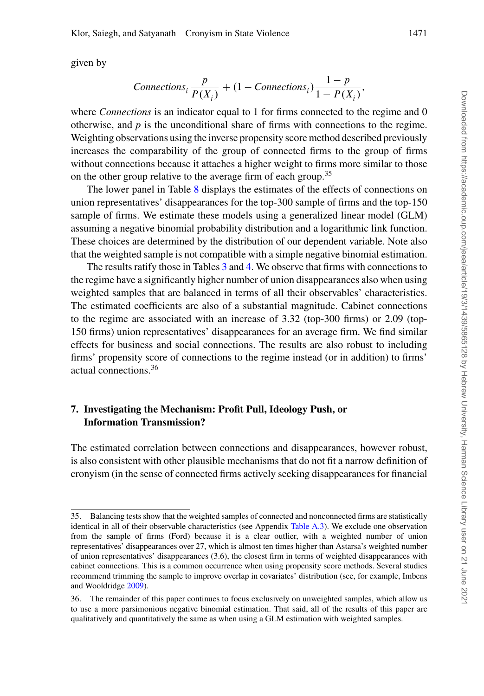given by

$$
Connections_i \frac{p}{P(X_i)} + (1 - Connections_i) \frac{1-p}{1 - P(X_i)},
$$

where *Connections* is an indicator equal to 1 for firms connected to the regime and 0 otherwise, and  $p$  is the unconditional share of firms with connections to the regime. Weighting observations using the inverse propensity score method described previously increases the comparability of the group of connected firms to the group of firms without connections because it attaches a higher weight to firms more similar to those on the other group relative to the average firm of each group.<sup>35</sup>

The lower panel in Table [8](#page-31-0) displays the estimates of the effects of connections on union representatives' disappearances for the top-300 sample of firms and the top-150 sample of firms. We estimate these models using a generalized linear model (GLM) assuming a negative binomial probability distribution and a logarithmic link function. These choices are determined by the distribution of our dependent variable. Note also that the weighted sample is not compatible with a simple negative binomial estimation.

The results ratify those in Tables [3](#page-20-0) and [4.](#page-22-0) We observe that firms with connections to the regime have a significantly higher number of union disappearances also when using weighted samples that are balanced in terms of all their observables' characteristics. The estimated coefficients are also of a substantial magnitude. Cabinet connections to the regime are associated with an increase of 3.32 (top-300 firms) or 2.09 (top-150 firms) union representatives' disappearances for an average firm. We find similar effects for business and social connections. The results are also robust to including firms' propensity score of connections to the regime instead (or in addition) to firms' actual connections.<sup>36</sup>

# **7. Investigating the Mechanism: Profit Pull, Ideology Push, or Information Transmission?**

The estimated correlation between connections and disappearances, however robust, is also consistent with other plausible mechanisms that do not fit a narrow definition of cronyism (in the sense of connected firms actively seeking disappearances for financial

<sup>35.</sup> Balancing tests show that the weighted samples of connected and nonconnected firms are statistically identical in all of their observable characteristics (see Appendix [Table A.3\)](#page-42-0). We exclude one observation from the sample of firms (Ford) because it is a clear outlier, with a weighted number of union representatives' disappearances over 27, which is almost ten times higher than Astarsa's weighted number of union representatives' disappearances (3.6), the closest firm in terms of weighted disappearances with cabinet connections. This is a common occurrence when using propensity score methods. Several studies recommend trimming the sample to improve overlap in covariates' distribution (see, for example, Imbens and Wooldridge [2009\)](#page-47-26).

<sup>36.</sup> The remainder of this paper continues to focus exclusively on unweighted samples, which allow us to use a more parsimonious negative binomial estimation. That said, all of the results of this paper are qualitatively and quantitatively the same as when using a GLM estimation with weighted samples.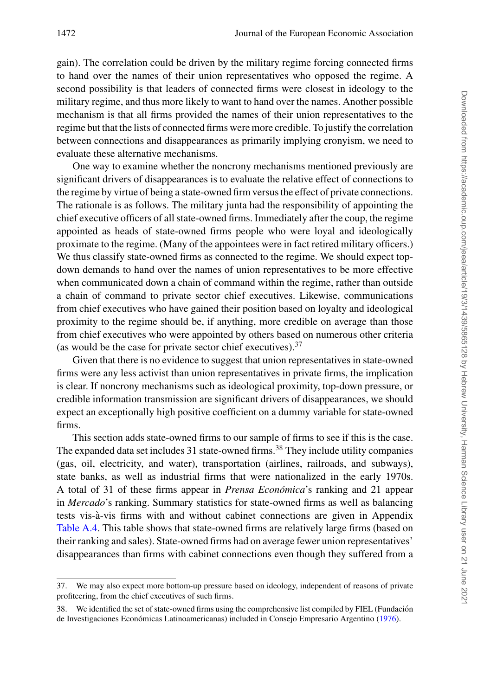gain). The correlation could be driven by the military regime forcing connected firms to hand over the names of their union representatives who opposed the regime. A second possibility is that leaders of connected firms were closest in ideology to the military regime, and thus more likely to want to hand over the names. Another possible mechanism is that all firms provided the names of their union representatives to the regime but that the lists of connected firms were more credible. To justify the correlation between connections and disappearances as primarily implying cronyism, we need to evaluate these alternative mechanisms.

One way to examine whether the noncrony mechanisms mentioned previously are significant drivers of disappearances is to evaluate the relative effect of connections to the regime by virtue of being a state-owned firm versus the effect of private connections. The rationale is as follows. The military junta had the responsibility of appointing the chief executive officers of all state-owned firms. Immediately after the coup, the regime appointed as heads of state-owned firms people who were loyal and ideologically proximate to the regime. (Many of the appointees were in fact retired military officers.) We thus classify state-owned firms as connected to the regime. We should expect topdown demands to hand over the names of union representatives to be more effective when communicated down a chain of command within the regime, rather than outside a chain of command to private sector chief executives. Likewise, communications from chief executives who have gained their position based on loyalty and ideological proximity to the regime should be, if anything, more credible on average than those from chief executives who were appointed by others based on numerous other criteria (as would be the case for private sector chief executives).  $37$ 

Given that there is no evidence to suggest that union representatives in state-owned firms were any less activist than union representatives in private firms, the implication is clear. If noncrony mechanisms such as ideological proximity, top-down pressure, or credible information transmission are significant drivers of disappearances, we should expect an exceptionally high positive coefficient on a dummy variable for state-owned firms.

This section adds state-owned firms to our sample of firms to see if this is the case. The expanded data set includes 31 state-owned firms.<sup>38</sup> They include utility companies (gas, oil, electricity, and water), transportation (airlines, railroads, and subways), state banks, as well as industrial firms that were nationalized in the early 1970s. A total of 31 of these firms appear in *Prensa Económica*'s ranking and 21 appear in *Mercado*'s ranking. Summary statistics for state-owned firms as well as balancing tests vis-a-vis firms with and without cabinet connections are given in Appendix ` [Table A.4.](#page-43-0) This table shows that state-owned firms are relatively large firms (based on their ranking and sales). State-owned firms had on average fewer union representatives' disappearances than firms with cabinet connections even though they suffered from a

<sup>37.</sup> We may also expect more bottom-up pressure based on ideology, independent of reasons of private profiteering, from the chief executives of such firms.

<sup>38.</sup> We identified the set of state-owned firms using the comprehensive list compiled by FIEL (Fundacion´ de Investigaciones Económicas Latinoamericanas) included in Consejo Empresario Argentino ([1976\)](#page-46-21).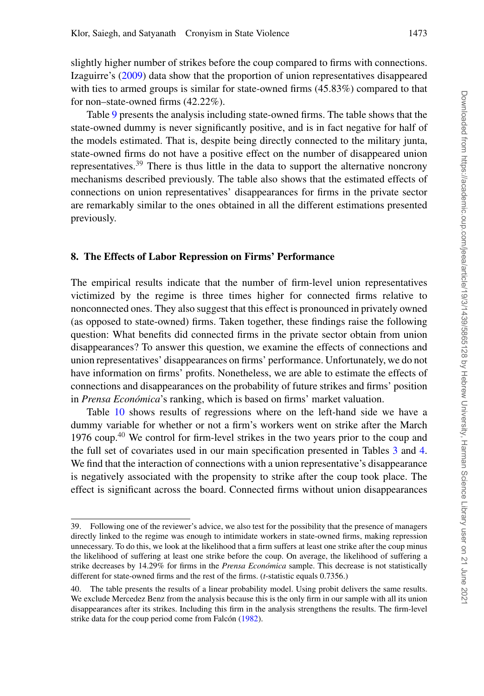slightly higher number of strikes before the coup compared to firms with connections. Izaguirre's [\(2009\)](#page-47-18) data show that the proportion of union representatives disappeared with ties to armed groups is similar for state-owned firms (45.83%) compared to that for non–state-owned firms (42.22%).

Table [9](#page-35-0) presents the analysis including state-owned firms. The table shows that the state-owned dummy is never significantly positive, and is in fact negative for half of the models estimated. That is, despite being directly connected to the military junta, state-owned firms do not have a positive effect on the number of disappeared union representatives.<sup>39</sup> There is thus little in the data to support the alternative noncrony mechanisms described previously. The table also shows that the estimated effects of connections on union representatives' disappearances for firms in the private sector are remarkably similar to the ones obtained in all the different estimations presented previously.

### **8. The Effects of Labor Repression on Firms' Performance**

The empirical results indicate that the number of firm-level union representatives victimized by the regime is three times higher for connected firms relative to nonconnected ones. They also suggest that this effect is pronounced in privately owned (as opposed to state-owned) firms. Taken together, these findings raise the following question: What benefits did connected firms in the private sector obtain from union disappearances? To answer this question, we examine the effects of connections and union representatives' disappearances on firms' performance. Unfortunately, we do not have information on firms' profits. Nonetheless, we are able to estimate the effects of connections and disappearances on the probability of future strikes and firms' position in *Prensa Económica*'s ranking, which is based on firms' market valuation.

Table [10](#page-36-0) shows results of regressions where on the left-hand side we have a dummy variable for whether or not a firm's workers went on strike after the March 1976 coup.<sup>40</sup> We control for firm-level strikes in the two years prior to the coup and the full set of covariates used in our main specification presented in Tables [3](#page-20-0) and [4.](#page-22-0) We find that the interaction of connections with a union representative's disappearance is negatively associated with the propensity to strike after the coup took place. The effect is significant across the board. Connected firms without union disappearances

<sup>39.</sup> Following one of the reviewer's advice, we also test for the possibility that the presence of managers directly linked to the regime was enough to intimidate workers in state-owned firms, making repression unnecessary. To do this, we look at the likelihood that a firm suffers at least one strike after the coup minus the likelihood of suffering at least one strike before the coup. On average, the likelihood of suffering a strike decreases by 14.29% for firms in the *Prensa Económica* sample. This decrease is not statistically different for state-owned firms and the rest of the firms. (*t*-statistic equals 0.7356.)

<sup>40.</sup> The table presents the results of a linear probability model. Using probit delivers the same results. We exclude Mercedez Benz from the analysis because this is the only firm in our sample with all its union disappearances after its strikes. Including this firm in the analysis strengthens the results. The firm-level strike data for the coup period come from Falcón  $(1982)$  $(1982)$ .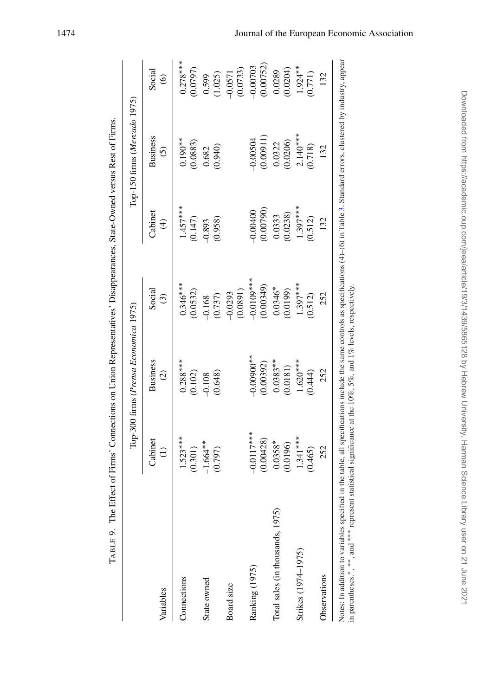|                                  |                 | Top-300 firms ( <i>Prensa Economica</i> 1975) |                       |                         | Top-150 firms (Mercado 1975) |                       |
|----------------------------------|-----------------|-----------------------------------------------|-----------------------|-------------------------|------------------------------|-----------------------|
| Variables                        | Cabinet         | <b>Business</b>                               | Social                | Cabinet                 | <b>Business</b>              | Social                |
|                                  | $\widehat{\Xi}$ | $\widehat{c}$                                 | $\odot$               | $\widehat{\mathcal{F}}$ | $\tilde{c}$                  | $\circledcirc$        |
| Connections                      | $1.523***$      | $0.288***$                                    | $0.346***$            | $1.457***$              | $0.190***$                   | $0.278***$            |
|                                  | (0.301)         | (0.102)                                       | (0.0532)              | (0.147)                 | (0.0883)                     | (0.0797)              |
| State owned                      | $-1.664**$      | (0.648)                                       | (0.737)               | (0.958)                 | (0.940)                      | (1.025)               |
|                                  | (0.797)         | $-0.108$                                      | 0.168                 | $-0.893$                | 0.682                        | 0.599                 |
| Board size                       |                 |                                               | (1680.0)<br>$-0.0293$ |                         |                              | (0.0733)<br>$-0.0571$ |
| Ranking (1975)                   | $-0.0117***$    | $-0.00900$ **                                 | $-0.010$ ***          | (0.00790)               | (11600.00)                   | (0.00752)             |
|                                  | (0.00428)       | (0.00392)                                     | (64600.00)            | $-0.00400$              | $-0.00504$                   | $-0.00703$            |
| Total sales (in thousands, 1975) | $0.0358*$       | $0.0383**$                                    | $0.0346*$             | (0.0238)                | (0.0206)                     | (0.0204)              |
|                                  | (0.0196)        | (0.0181)                                      | (0.0199)              | 0.0333                  | 0.0322                       | 0.0289                |
| Strikes (1974–1975)              | $1.341***$      | $1.620***$                                    | $1.397***$            | $1.397***$              | $2.140***$                   | $1.924**$             |
|                                  | (0.465)         | (0.444)                                       | (0.512)               | (0.512)                 | (0.718)                      | (0.771)               |
| Observations                     | 252             | 252                                           | 252                   | 132                     | 132                          | 132                   |

<span id="page-35-0"></span>Notes: In addition to variables specified in the table, all specifications include the same controls as specifications  $(4)-(6)$  in Table [3.](#page-20-0) Standard errors, clustered by industry, appear in parentheses.- $\cdot$  . and  $^{***}$ \* represent statistical significance at the 10%, 5%, and 1% levels, respectively.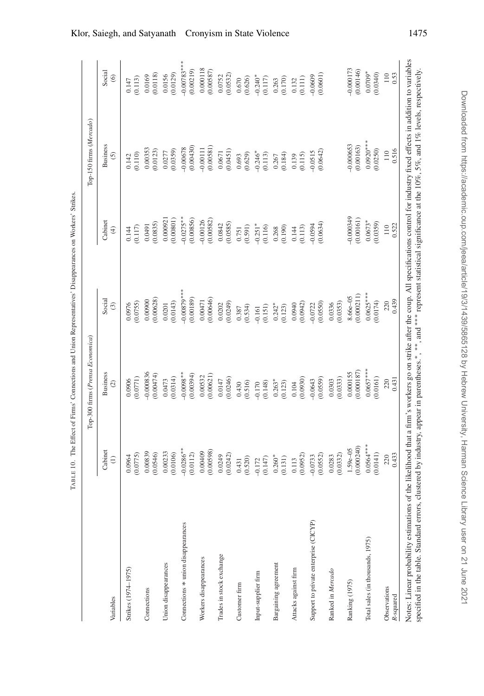|                                                                                                                                                                                                                                       |                    | Top-300 firms (Prensa Economica)                                                                                                            |                    |             | Top-150 firms (Mercado) |                |
|---------------------------------------------------------------------------------------------------------------------------------------------------------------------------------------------------------------------------------------|--------------------|---------------------------------------------------------------------------------------------------------------------------------------------|--------------------|-------------|-------------------------|----------------|
| Variables                                                                                                                                                                                                                             | Cabinet            | <b>Business</b>                                                                                                                             | Social             | Cabinet     | <b>Business</b>         | Social         |
|                                                                                                                                                                                                                                       | $\widehat{z}$      | $\circledcirc$                                                                                                                              | $\odot$            | $\oplus$    | $\odot$                 | $\circledcirc$ |
| Strikes (1974-1975)                                                                                                                                                                                                                   | (0.0775)           | (0.0771)                                                                                                                                    | (0.0755)           | (0.117)     | (0.110)                 | (0.113)        |
|                                                                                                                                                                                                                                       | 0.0964             | 0.0906                                                                                                                                      | 0.0976             | 0.144       | 0.142                   | 0.147          |
| Connections                                                                                                                                                                                                                           | 0.00839            | -0.000836                                                                                                                                   | (0.00628)          | (0.0835)    | 0.00353                 | (0.0118)       |
|                                                                                                                                                                                                                                       | (0.0546)           | (0.00474)                                                                                                                                   | 0.00900            | 0.0491      | (0.0123)                | 0.0169         |
| Union disappearances                                                                                                                                                                                                                  | 0.00233            | (0.0314)                                                                                                                                    | (0.0143)           | 0.000921    | (0.0359)                | (0.0129)       |
|                                                                                                                                                                                                                                       | (0.0106)           | 0.0473                                                                                                                                      | 0.0201             | (0.00801)   | 0.0277                  | 0.0156         |
| Connections * union disappearances                                                                                                                                                                                                    | $-0.0286***$       | $-0.0098**$                                                                                                                                 | $-0.00879***$      | $-0.0275**$ | (0.00430)               | $-0.00783***$  |
|                                                                                                                                                                                                                                       | (0.0112)           | (0.00394)                                                                                                                                   | (0.00189)          | (0.00856)   | $-0.00678$              | (0.00219)      |
| Workers disappearances                                                                                                                                                                                                                | 0.00598            | (0.00621)                                                                                                                                   | (0.00646)          | (0.00582)   | (0.00581)               | 0.000118       |
|                                                                                                                                                                                                                                       | 0.00409            | 0.00532                                                                                                                                     | 0.00471            | $-0.00126$  | $-0.00111$              | (0.00587)      |
| Trades in stock exchange                                                                                                                                                                                                              | (0.0242)           | (0.0246)                                                                                                                                    | (0.0249)           | (0.0585)    | (0.0451)                | (0.0532)       |
|                                                                                                                                                                                                                                       | 0.0249             | 0.0147                                                                                                                                      | 0.0202             | 0.0842      | 0.0671                  | 0.0752         |
| Customer firm                                                                                                                                                                                                                         | (0.520)            | (0.516)                                                                                                                                     | (0.534)            | (0.591)     | (0.629)                 | (0.626)        |
|                                                                                                                                                                                                                                       | 0.431              | 0.430                                                                                                                                       | 0.387              | 0.751       | 0.693                   | 0.670          |
| Input-supplier firm                                                                                                                                                                                                                   | (0.147)            | (0.148)                                                                                                                                     | (0.151)            | $-0.251*$   | $-0.246*$               | $-0.240*$      |
|                                                                                                                                                                                                                                       | $-0.172$           | $-0.170$                                                                                                                                    | $-0.161$           | (0.116)     | (0.113)                 | (0.117)        |
| Bargaining agreement                                                                                                                                                                                                                  | $0.260*$           | $0.263*$                                                                                                                                    | $0.242*$           | (0.190)     | (0.184)                 | (0.170)        |
|                                                                                                                                                                                                                                       | (0.131)            | (0.123)                                                                                                                                     | (0.123)            | 0.268       | 0.267                   | 0.263          |
| Attacks against firm                                                                                                                                                                                                                  | (0.0952)           | (0.0930)                                                                                                                                    | (0.0942)           | (0.113)     | (0.115)                 | (0.111)        |
|                                                                                                                                                                                                                                       | 0.113              | 0.104                                                                                                                                       | 0.0940             | 0.144       | 0.139                   | 0.132          |
| Support to private enterprise (CICYP)                                                                                                                                                                                                 | (0.0552)           | (0.0559)                                                                                                                                    | (0.0550)           | (0.0634)    | (0.0642)                | (0.0601)       |
|                                                                                                                                                                                                                                       | $-0.0733$          | $-0.0643$                                                                                                                                   | $-0.0722$          | $-0.0594$   | $-0.0515$               | $-0.0609$      |
| Ranked in Mercado                                                                                                                                                                                                                     | (0.0332)<br>0.0283 | (0.0333)<br>0.0303                                                                                                                          | (0.0353)<br>0.0336 |             |                         |                |
| Ranking (1975)                                                                                                                                                                                                                        | 0.000240)          | 0.000187                                                                                                                                    | (0.000211)         | $-0.000349$ | $-0.000653$             | $-0.000173$    |
|                                                                                                                                                                                                                                       | $1.59e - 05$       | 0.000155                                                                                                                                    | $8.66e - 05$       | (0.00161)   | (0.00163)               | (0.00146)      |
| Total sales (in thousands, 1975)                                                                                                                                                                                                      | $0.0564***$        | $0.0657***$                                                                                                                                 | $0.0625***$        | $0.0673*$   | $0.0920***$             | $0.0709*$      |
|                                                                                                                                                                                                                                       | 0.0141)            | 0.0161)                                                                                                                                     | (0.0174)           | (0.0359)    | (0.0250)                | (0.0340)       |
| Observations                                                                                                                                                                                                                          | 0.433              | 0.431                                                                                                                                       | 0.439              | 0.522       | 0.516                   | 110            |
| R-squared                                                                                                                                                                                                                             | 220                | 220                                                                                                                                         | 220                | 110         | 110                     | 0.53           |
| Notes: Linear probability estimations of the likelihood that a firm's workers go on strike after the coup. All specifications control for industry fixed effects in addition to variables<br>specified in the table. Standard errors, |                    | clustered by industry, appear in parentheses.*, **, and *** represent statistical significance at the 10%, 5%, and 1% levels, respectively. |                    |             |                         |                |

<span id="page-36-0"></span>TABLE 10. The Effect of Firms' Connections and Union Representatives' Disappearances on Workers' Strikes.

TABLE 10. The Effect of Firms' Connections and Union Representatives' Disappearances on Workers' Strikes.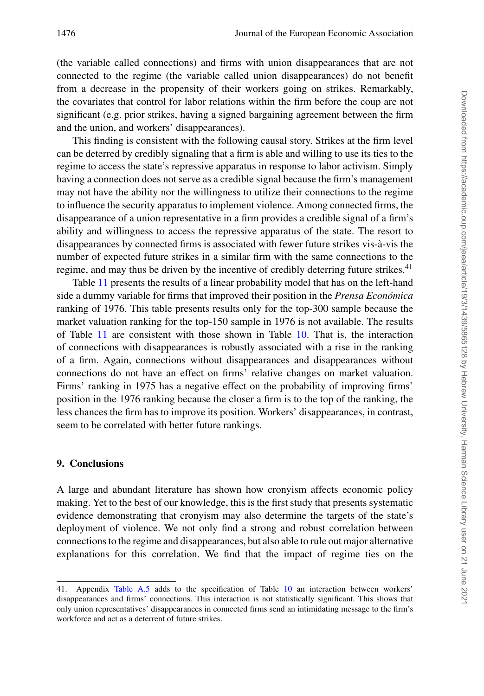(the variable called connections) and firms with union disappearances that are not connected to the regime (the variable called union disappearances) do not benefit from a decrease in the propensity of their workers going on strikes. Remarkably, the covariates that control for labor relations within the firm before the coup are not significant (e.g. prior strikes, having a signed bargaining agreement between the firm and the union, and workers' disappearances).

This finding is consistent with the following causal story. Strikes at the firm level can be deterred by credibly signaling that a firm is able and willing to use its ties to the regime to access the state's repressive apparatus in response to labor activism. Simply having a connection does not serve as a credible signal because the firm's management may not have the ability nor the willingness to utilize their connections to the regime to influence the security apparatus to implement violence. Among connected firms, the disappearance of a union representative in a firm provides a credible signal of a firm's ability and willingness to access the repressive apparatus of the state. The resort to disappearances by connected firms is associated with fewer future strikes vis-a-vis the ` number of expected future strikes in a similar firm with the same connections to the regime, and may thus be driven by the incentive of credibly deterring future strikes.<sup>41</sup>

Table [11](#page-38-0) presents the results of a linear probability model that has on the left-hand side a dummy variable for firms that improved their position in the *Prensa Economica ´* ranking of 1976. This table presents results only for the top-300 sample because the market valuation ranking for the top-150 sample in 1976 is not available. The results of Table [11](#page-38-0) are consistent with those shown in Table [10.](#page-36-0) That is, the interaction of connections with disappearances is robustly associated with a rise in the ranking of a firm. Again, connections without disappearances and disappearances without connections do not have an effect on firms' relative changes on market valuation. Firms' ranking in 1975 has a negative effect on the probability of improving firms' position in the 1976 ranking because the closer a firm is to the top of the ranking, the less chances the firm has to improve its position. Workers' disappearances, in contrast, seem to be correlated with better future rankings.

### **9. Conclusions**

A large and abundant literature has shown how cronyism affects economic policy making. Yet to the best of our knowledge, this is the first study that presents systematic evidence demonstrating that cronyism may also determine the targets of the state's deployment of violence. We not only find a strong and robust correlation between connections to the regime and disappearances, but also able to rule out major alternative explanations for this correlation. We find that the impact of regime ties on the

<sup>41.</sup> Appendix [Table A.5](#page-44-0) adds to the specification of Table [10](#page-36-0) an interaction between workers' disappearances and firms' connections. This interaction is not statistically significant. This shows that only union representatives' disappearances in connected firms send an intimidating message to the firm's workforce and act as a deterrent of future strikes.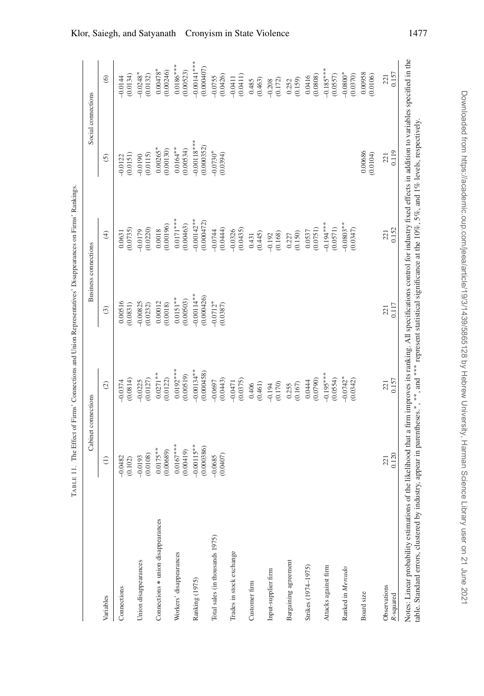<span id="page-38-0"></span>

|                                    |                            | Cabinet connections        |                            | <b>Business connections</b> |                             | Social connections          |
|------------------------------------|----------------------------|----------------------------|----------------------------|-----------------------------|-----------------------------|-----------------------------|
| Variables                          | $\ominus$                  | $\odot$                    | $\widehat{c}$              | $\widehat{f}$               | $\odot$                     | $\odot$                     |
| Connections                        | $-0.0482$<br>(0.102)       | (0.0814)<br>$-0.0374$      | 0.00516<br>(0.0831)        | (0.0735)<br>0.0631          | (0.0151)<br>$-0.0122$       | (0.0134)<br>$-0.0144$       |
| Union disappearances               | (0.0108)<br>$-0.0193$      | (0.0127)<br>$-0.0225$      | $-0.00825$<br>(0.0232)     | (0.0220)<br>$-0.0179$       | (0.0115)<br>$-0.0190$       | $-0.0248*$<br>(0.0132)      |
| Connections * union disappearances | $0.0175**$<br>(0.00689)    | $0.0271**$<br>(0.0122)     | 0.00012<br>(0.0018)        | (0.00196)<br>0.0018         | $0.00265*$<br>(0.00130)     | $0.00478*$<br>(0.00246)     |
| Workers' disappearances            | $0.0167***$<br>(0.00419)   | $0.0192***$<br>(0.00519)   | $0.0151**$<br>(0.00503)    | $0.0171***$<br>(0.00463)    | $0.0164**$<br>(0.00534)     | $0.0186***$<br>(0.00523)    |
| Ranking (1975)                     | $-0.00115**$<br>(0.000386) | $-0.00134**$<br>(0.000458) | $-0.00114**$<br>(0.000426) | $-0.00142**$<br>(0.000472)  | $-0.00118***$<br>(0.000352) | $-0.00141***$<br>(0.000407) |
| Total sales (in thousands 1975)    | (0.0407)<br>$-0.0685$      | (0.0443)<br>$-0.0697$      | $-0.0712*$<br>(0.0387)     | (0.0444)<br>$-0.0744$       | $-0.0730*$<br>(0.0394)      | (0.0426)<br>$-0.0755$       |
| Trades in stock exchange           |                            | (0.0375)<br>$-0.0471$      |                            | (0.0435)<br>$-0.0326$       |                             | (0.0411)<br>$-0.0411$       |
| Customer firm                      |                            | (0.461)<br>0.406           |                            | (0.445)<br>0.431            |                             | (0.463)<br>0.485            |
| Input-supplier firm                |                            | (0.170)<br>$-0.194$        |                            | (0.168)<br>$-0.192$         |                             | (0.172)<br>$-0.208$         |
| Bargaining agreement               |                            | (0.167)<br>0.255           |                            | (0.150)<br>0.227            |                             | (0.159)<br>0.252            |
| Strikes (1974-1975)                |                            | (0.0790)<br>0.0444         |                            | (0.0751)<br>0.0537          |                             | (0.0808)<br>0.0416          |
| Attacks against firm               |                            | $-0.195***$<br>(0.0554)    |                            | $-0.194***$<br>(0.0571)     |                             | $-0.185***$<br>(0.0557)     |
| Ranked in Mercado                  |                            | $-0.0742*$<br>(0.0342)     |                            | $-0.0803**$<br>(0.0347)     |                             | $-0.0800*$<br>(0.0370)      |
| Board size                         |                            |                            |                            |                             | 0.00686<br>(0.0104)         | 0.00958<br>(0.0106)         |
| Observations<br>R-squared          | 0.120<br>221               | 0.157<br>221               | 0.117<br>221               | 0.152<br>221                | 0.119<br>221                | 0.157<br>221                |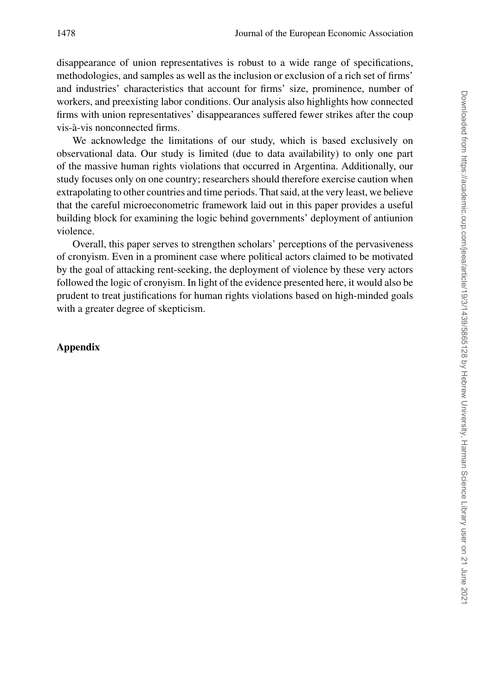disappearance of union representatives is robust to a wide range of specifications, methodologies, and samples as well as the inclusion or exclusion of a rich set of firms' and industries' characteristics that account for firms' size, prominence, number of workers, and preexisting labor conditions. Our analysis also highlights how connected firms with union representatives' disappearances suffered fewer strikes after the coup vis-a-vis nonconnected firms. `

We acknowledge the limitations of our study, which is based exclusively on observational data. Our study is limited (due to data availability) to only one part of the massive human rights violations that occurred in Argentina. Additionally, our study focuses only on one country; researchers should therefore exercise caution when extrapolating to other countries and time periods. That said, at the very least, we believe that the careful microeconometric framework laid out in this paper provides a useful building block for examining the logic behind governments' deployment of antiunion violence.

Overall, this paper serves to strengthen scholars' perceptions of the pervasiveness of cronyism. Even in a prominent case where political actors claimed to be motivated by the goal of attacking rent-seeking, the deployment of violence by these very actors followed the logic of cronyism. In light of the evidence presented here, it would also be prudent to treat justifications for human rights violations based on high-minded goals with a greater degree of skepticism.

# **Appendix**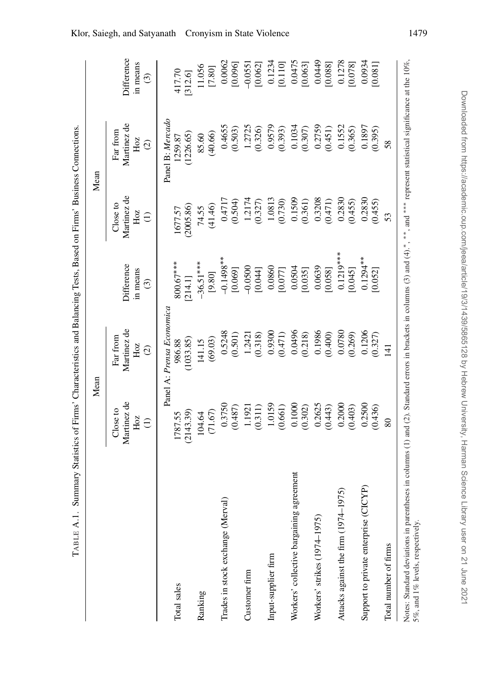<span id="page-40-0"></span>

|                                          |                                                   | Mean                                            |                                         |                                                   | Mean                                            |                                                   |
|------------------------------------------|---------------------------------------------------|-------------------------------------------------|-----------------------------------------|---------------------------------------------------|-------------------------------------------------|---------------------------------------------------|
|                                          | Martinez de<br>Close to<br>Hoz<br>$\widehat{\Xi}$ | Martinez de<br>Far from<br>Hoz<br>$\widehat{c}$ | Difference<br>in means<br>$\widehat{c}$ | Martinez de<br>Close to<br>Hoz<br>$\widehat{\Xi}$ | Martinez de<br>Far from<br>Hoz<br>$\widehat{c}$ | Difference<br>in means<br>$\widehat{\mathcal{C}}$ |
| Total sales                              | 1787.55                                           | Panel A: Prensa Economica<br>986.88             | $800.67***$                             | 1677.57                                           | Panel B: Mercado<br>1259.87                     | 417.70                                            |
|                                          | (2143.39)                                         | (1033.85)                                       | [214.1]                                 | (2005.86)                                         | (1226.65)                                       | [312.6]                                           |
| Ranking                                  | (71.67)                                           | (69.03)                                         | $-36.51***$                             | (41.46)                                           | (40.66)                                         | 11.056                                            |
|                                          | 104.64                                            | 141.15                                          | [9.80]                                  | 74.55                                             | 85.60                                           | $[7.80]$                                          |
| Trades in stock exchange (Merval)        | 0.3750                                            | 0.5248                                          | $-0.1498**$                             | 0.4717                                            | 0.4655                                          | 0.0062                                            |
| Customer firm                            | 1.1921                                            | (0.501)                                         | $-0.0500$                               | 1.2174                                            | 1.2725                                          | [0.096]                                           |
|                                          | (0.487)                                           | 1.2421                                          | [0.069]                                 | (0.504)                                           | (0.503)                                         | $-0.0551$                                         |
|                                          | (0.311)                                           | (0.318)                                         | [0.044]                                 | (0.327)                                           | (0.326)                                         | [0.062]                                           |
| Input-supplier firm                      | 1.0159                                            | 0.9300                                          | 0.0860                                  | 1.0813                                            | 0.9579                                          | 0.1234                                            |
|                                          | (0.661)                                           | (0.471)                                         | [0.077]                                 | (0.730)                                           | (0.393)                                         | [0.110]                                           |
| Workers' collective bargaining agreement | 0.1000                                            | 0.0496                                          | 0.0504                                  | 0.1509                                            | 0.1034                                          | 0.0475                                            |
|                                          | (0.302)                                           | (0.218)                                         | [0.035]                                 | (0.361)                                           | (0.307)                                         | [0.063]                                           |
| Workers' strikes (1974-1975)             | 0.2625                                            | 0.1986                                          | 0.0639                                  | 0.3208                                            | 0.2759                                          | 0.0449                                            |
|                                          | (0.443)                                           | (0.400)                                         | [0.058]                                 | (0.471)                                           | (0.451)                                         | [0.088]                                           |
| 975)                                     | 0.2000                                            | 0.0780                                          | $0.1219***$                             | 0.2830                                            | 0.1552                                          | 0.1278                                            |
| Attacks against the firm (1974-1         | (0.403)                                           | (0.269)                                         | [0.045]                                 | (0.455)                                           | (0.365)                                         | [0.078]                                           |
| Support to private enterprise (CICYP)    | 0.2500                                            | 0.1206                                          | $0.1294**$                              | 0.2830                                            | 0.1897                                          | 0.0934                                            |
|                                          | (0.436)                                           | (0.327)                                         | [0.052]                                 | (0.455)                                           | (0.395)                                         | [0.081]                                           |
| Total number of firms                    | 80                                                | $\overline{4}$                                  |                                         | 53                                                | 58                                              |                                                   |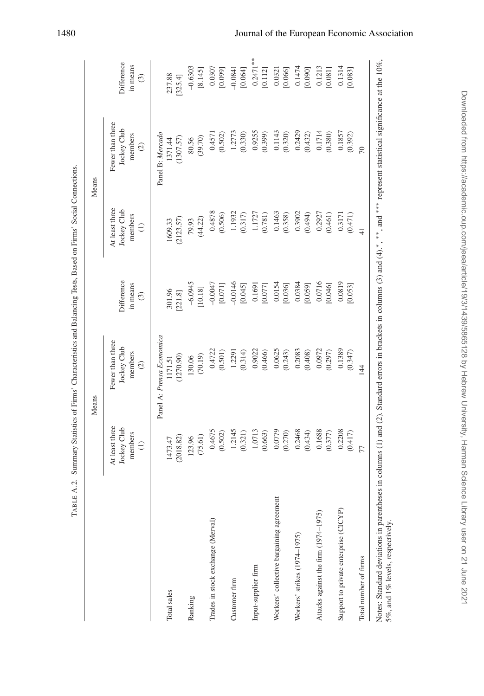|                                          |                                                       | Means                                                       |                                   |                                                             | Means                                                       |                                   |
|------------------------------------------|-------------------------------------------------------|-------------------------------------------------------------|-----------------------------------|-------------------------------------------------------------|-------------------------------------------------------------|-----------------------------------|
|                                          | At least three<br>Jockey Club<br>members<br>$\ominus$ | Fewer than three<br>Jockey Club<br>members<br>$\widehat{c}$ | Difference<br>in means<br>$\odot$ | At least three<br>Jockey Club<br>members<br>$\widehat{\Xi}$ | Fewer than three<br>Jockey Club<br>members<br>$\widehat{c}$ | Difference<br>in means<br>$\odot$ |
| Total sales                              | 1473.47                                               | Panel A: Prensa Economica<br>1171.51                        | 301.96                            | 1609.33                                                     | Panel B: Mercado<br>1371.44                                 | 237.88                            |
| Ranking                                  | (75.61)                                               | (70.19)                                                     | $-6.0945$                         | (44.22)                                                     | (39.70)                                                     | $-0.6303$                         |
|                                          | (2018.82)                                             | (1270.90)                                                   | [10.18]                           | (2123.57)                                                   | (1307.57)                                                   | [8.145]                           |
|                                          | 123.96                                                | 130.06                                                      | [221.8]                           | 79.93                                                       | 80.56                                                       | [325.4]                           |
| Trades in stock exchange (Merval)        | 0.4675                                                | 0.4722                                                      | $-0.0047$                         | 0.4878                                                      | 0.4571                                                      | 0.0307                            |
|                                          | (0.502)                                               | (0.501)                                                     | [0.071]                           | (0.506)                                                     | (0.502)                                                     | [0.099]                           |
| Customer firm                            | 1.2145                                                | 1.2291                                                      | $-0.0146$                         | 1.1932                                                      | 1.2773                                                      | $-0.0841$                         |
|                                          | (0.321)                                               | (0.314)                                                     | [0.045]                           | (0.317)                                                     | (0.330)                                                     | [0.064]                           |
| Input-supplier firm                      | 1.0713                                                | 0.9022                                                      | 0.1691                            | 1.1727                                                      | 0.9255                                                      | $0.2471***$                       |
|                                          | (0.663)                                               | (0.466)                                                     | [0.077]                           | (0.781)                                                     | (0.399)                                                     | [0.112]                           |
| Workers' collective bargaining agreement | 0.0779                                                | 0.0625                                                      | 0.0154                            | 0.1463                                                      | 0.1143                                                      | 0.0321                            |
|                                          | (0.270)                                               | (0.243)                                                     | [0.036]                           | (0.358)                                                     | (0.320)                                                     | [0.066]                           |
| Workers' strikes (1974-1975)             | 0.2468                                                | 0.2083                                                      | 0.0384                            | 0.3902                                                      | 0.2429                                                      | 0.1474                            |
|                                          | (0.434)                                               | (0.408)                                                     | [0.059]                           | (0.494)                                                     | (0.432)                                                     | [0.090]                           |
| Attacks against the firm (1974–1975)     | 0.1688                                                | 0.0972                                                      | 0.0716                            | 0.2927                                                      | 0.1714                                                      | 0.1213                            |
|                                          | (0.377)                                               | (0.297)                                                     | [0.046]                           | (0.461)                                                     | (0.380)                                                     | [0.081]                           |
| Support to private enterprise (CICYP)    | 0.2208                                                | 0.1389                                                      | 0.0819                            | (0.471)                                                     | 0.1857                                                      | 0.1314                            |
|                                          | (0.417)                                               | (0.347)                                                     | [0.053]                           | 0.3171                                                      | (0.392)                                                     | [0.083]                           |
| Total number of firms                    | 77                                                    | 144                                                         |                                   | $\frac{4}{1}$                                               | $\overline{70}$                                             |                                   |

# <span id="page-41-0"></span>Downloaded from https://academic.oup.com/jeea/article/19/3/1439/5865128 by Hebrew University, Harman Science Library user on 21 June 2021 Downloaded from https://academic.oup.com/jeea/article/19/3/1439/5865128 by Hebrew University, Harman Science Library user on 21 June 2021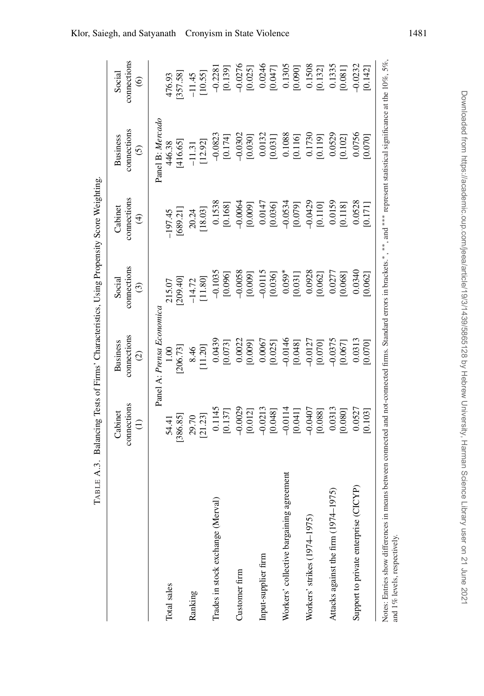|                                                                                                                                                                                    | TABLE A.3. Balancing Tests of Firms' Characteristics, Using Propensity Score Weighting |                                                 |                                        |                                       |                                                 |                                                   |
|------------------------------------------------------------------------------------------------------------------------------------------------------------------------------------|----------------------------------------------------------------------------------------|-------------------------------------------------|----------------------------------------|---------------------------------------|-------------------------------------------------|---------------------------------------------------|
|                                                                                                                                                                                    | connections<br>Cabinet<br>$\ominus$                                                    | connections<br><b>Business</b><br>$\widehat{c}$ | connections<br>Social<br>$\widehat{c}$ | connections<br>Cabinet<br>$\bigoplus$ | connections<br><b>Business</b><br>$\widehat{c}$ | connections<br>Social<br>$\widehat{\mathfrak{S}}$ |
|                                                                                                                                                                                    |                                                                                        | Panel A: Prensa Economica                       |                                        |                                       | Panel B: Mercado                                |                                                   |
| Total sales                                                                                                                                                                        | [386.85]<br>54.41                                                                      | [206.73]<br>0.00                                | 215.07<br>[209.40]                     | [689.21]<br>$-197.45$                 | 416.65]<br>446.38                               | 476.93<br>[357.58]                                |
| Ranking                                                                                                                                                                            | 29.70<br>[21.23]                                                                       | $8.46$<br>11.20]                                | $-14.72$<br>[11.80]                    | 20.24                                 | $-11.31$<br>[12.92]                             | $-11.45$<br>[10.55]                               |
|                                                                                                                                                                                    |                                                                                        |                                                 |                                        |                                       |                                                 |                                                   |
| Trades in stock exchange (Merval)                                                                                                                                                  | $0.1145$<br>[0.137]                                                                    | 0.0439<br>[0.073]                               | $-0.1035$<br>[0.096]                   | $0.1538$<br>[0.168]                   | $-0.0823$<br>[0.174]                            | $-0.2281$<br>[0.139]                              |
| Customer firm                                                                                                                                                                      |                                                                                        |                                                 |                                        | $-0.0064$                             |                                                 | $-0.0276$                                         |
|                                                                                                                                                                                    | $-0.0029$ [0.012]                                                                      | $0.0022$<br>[0.009]                             | $-0.0058$<br>[0.009]                   | [0.009]                               | $-0.0302$<br>[0.030]                            | [0.025]                                           |
| Input-supplier firm                                                                                                                                                                |                                                                                        |                                                 |                                        | 0.0147                                |                                                 |                                                   |
|                                                                                                                                                                                    | $-0.0213$<br>[0.048]                                                                   | $0.0067$<br>[0.025]                             | $-0.0115$<br>[0.036]                   | [0.036]                               | $\begin{array}{c} 0.0132 \\ 0.031 \end{array}$  | $0.0246$<br>[0.047]                               |
| Workers' collective bargaining agreement                                                                                                                                           |                                                                                        | $-0.0146$                                       | $0.059*$                               | $-0.0534$                             | 0.1088                                          | 0.1305                                            |
|                                                                                                                                                                                    | $-0.0114$<br>[0.041]                                                                   | [0.048]                                         | [0.031]                                | [0.079]                               | [0.116]                                         | [0.090]                                           |
| Workers' strikes (1974-1975)                                                                                                                                                       |                                                                                        |                                                 | 0.0928                                 |                                       |                                                 |                                                   |
|                                                                                                                                                                                    | $-0.0407$<br>[0.088]                                                                   | $-0.0127$<br>[0.070]                            | [0.062]                                | $-0.0429$<br>[0.110]                  | [0.1730]                                        | $\frac{0.1508}{[0.132]}$                          |
| 975)<br>Attacks against the firm (1974-1                                                                                                                                           | $\begin{array}{c} 0.0313 \\ 0.080 \end{array}$                                         |                                                 |                                        | 0.0159                                |                                                 |                                                   |
|                                                                                                                                                                                    |                                                                                        | $-0.0375$<br>[0.067]                            | 0.0277<br>[0.068]                      | [0.118]                               | $0.0529$<br>$[0.102]$                           | $\begin{array}{c} 0.1335 \\ 0.081 \end{array}$    |
| CYP)<br>Support to private enterprise (CI-                                                                                                                                         | 0.0527                                                                                 | 0.0313                                          | 0.0340                                 | 0.0528                                | 0.0756                                          | $-0.0232$                                         |
|                                                                                                                                                                                    | 0.103                                                                                  | [0.070]                                         | 0.062                                  | 0.171                                 | 0.070                                           | [0.142]                                           |
| Notes: Entries show differences in means between connected and not-connected firms. Standard errors in brackets.*,***, and **** represent statistical significance at the 10%, 5%, |                                                                                        |                                                 |                                        |                                       |                                                 |                                                   |

and 1% levels, respectively.

<span id="page-42-0"></span>and 1% levels, respectively.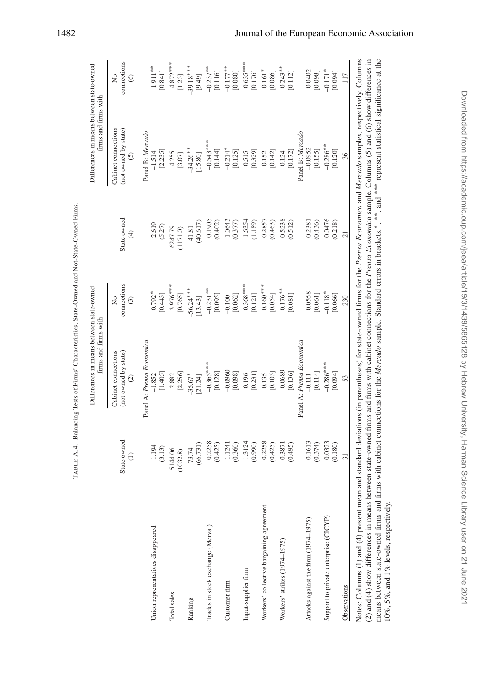| $\bigoplus$<br>connections<br>$3.976***$<br>$0.368***$<br>$0.160***$<br>$-56.24***$<br>$-0.231**$<br>$0.176**$<br>$0.792*$<br>[0.443]<br>[0.765]<br>[0.095]<br>[0.062]<br>[0.054]<br>[0.081]<br>[0.121]<br>$-0.100$<br>$\frac{1}{2}$<br>[13.43]<br>$\odot$<br>Panel A: Prensa Economica<br>Panel A: Prensa Economica<br>Cabinet connections<br>(not owned by state)<br>$-0.365***$<br>$-0.0960$<br>0.0689<br>[0.136]<br>[1.405]<br>[0.128]<br>[0.098]<br>[0.231]<br>[0.105]<br>2.882<br>[2.256]<br>$-35.67*$<br>0.196<br>0.135<br>$-1.852$<br>[21.24]<br>$\widehat{c}$<br>State owned<br>1.3124<br>0.2258<br>0.2258<br>(0.425)<br>1.1241<br>(0.360)<br>(0.425)<br>0.3871<br>(0.495)<br>(0.990)<br>(66.731)<br>1.194<br>(3.13)<br>5144.06<br>73.74<br>(1032.8)<br>$\widehat{z}$<br>Workers' collective bargaining agreement<br>Trades in stock exchange (Merval)<br>Union representatives disappeared<br>Workers' strikes (1974-1975)<br>Input-supplier firm<br>Customer firm<br>Total sales<br>Ranking | State owned<br>(40.617)<br>2.619<br>(5.27)<br>6247.79<br>41.81<br>(1171.0) | Cabinet connections<br>(not owned by state)<br>Panel B: Mercado<br>[2.235]<br>$-1.514$<br>4.255<br>$\widehat{c}$<br>$[3.07]$ | connections<br>$\frac{1}{2}$<br>$\circledcirc$ |
|--------------------------------------------------------------------------------------------------------------------------------------------------------------------------------------------------------------------------------------------------------------------------------------------------------------------------------------------------------------------------------------------------------------------------------------------------------------------------------------------------------------------------------------------------------------------------------------------------------------------------------------------------------------------------------------------------------------------------------------------------------------------------------------------------------------------------------------------------------------------------------------------------------------------------------------------------------------------------------------------------------|----------------------------------------------------------------------------|------------------------------------------------------------------------------------------------------------------------------|------------------------------------------------|
|                                                                                                                                                                                                                                                                                                                                                                                                                                                                                                                                                                                                                                                                                                                                                                                                                                                                                                                                                                                                        |                                                                            |                                                                                                                              |                                                |
|                                                                                                                                                                                                                                                                                                                                                                                                                                                                                                                                                                                                                                                                                                                                                                                                                                                                                                                                                                                                        |                                                                            |                                                                                                                              |                                                |
|                                                                                                                                                                                                                                                                                                                                                                                                                                                                                                                                                                                                                                                                                                                                                                                                                                                                                                                                                                                                        |                                                                            |                                                                                                                              | $1.911***$<br>[0.841]                          |
|                                                                                                                                                                                                                                                                                                                                                                                                                                                                                                                                                                                                                                                                                                                                                                                                                                                                                                                                                                                                        |                                                                            |                                                                                                                              | $4.872***$<br>[1.23]                           |
|                                                                                                                                                                                                                                                                                                                                                                                                                                                                                                                                                                                                                                                                                                                                                                                                                                                                                                                                                                                                        |                                                                            | $-34.26**$<br>[15.80]                                                                                                        | $-39.18***$<br>[9.49]                          |
|                                                                                                                                                                                                                                                                                                                                                                                                                                                                                                                                                                                                                                                                                                                                                                                                                                                                                                                                                                                                        | 0.1905<br>(0.402)                                                          | $-0.543***$<br>[0.144]                                                                                                       | $-0.237**$<br>[0.116]                          |
|                                                                                                                                                                                                                                                                                                                                                                                                                                                                                                                                                                                                                                                                                                                                                                                                                                                                                                                                                                                                        | 1.0643<br>(0.377)                                                          | $-0.214*$<br>[0.125]                                                                                                         | $-0.177**$<br>[0.080]                          |
|                                                                                                                                                                                                                                                                                                                                                                                                                                                                                                                                                                                                                                                                                                                                                                                                                                                                                                                                                                                                        | 1.6354<br>(1.189)                                                          | [0.329]<br>0.515                                                                                                             | $0.635***$<br>[0.176]                          |
|                                                                                                                                                                                                                                                                                                                                                                                                                                                                                                                                                                                                                                                                                                                                                                                                                                                                                                                                                                                                        | 0.2857<br>(0.463)                                                          | [0.142]<br>0.152                                                                                                             | $0.161*$<br>[0.086]                            |
|                                                                                                                                                                                                                                                                                                                                                                                                                                                                                                                                                                                                                                                                                                                                                                                                                                                                                                                                                                                                        | $0.5238$<br>$(0.512)$                                                      | [0.172]<br>0.124                                                                                                             | $0.243**$<br>[0.112]                           |
| 0.0558<br>[0.061]<br>[0.114]<br>$-0.111$<br>0.1613<br>(0.374)<br>Attacks against the firm (1974-1975)                                                                                                                                                                                                                                                                                                                                                                                                                                                                                                                                                                                                                                                                                                                                                                                                                                                                                                  | 0.2381<br>(0.436)                                                          | Panel B: Mercado<br>$-0.0952$<br>[0.155]                                                                                     | 0.0402<br>[0.098]                              |
| $-0.118*$<br>[0.066]<br>$-0.286***$<br>[160.0]<br>0.0323<br>(0.180)<br>Support to private enterprise (CICYP)                                                                                                                                                                                                                                                                                                                                                                                                                                                                                                                                                                                                                                                                                                                                                                                                                                                                                           | 0.0476<br>(0.218)                                                          | $-0.286**$<br>[0.120]                                                                                                        | $-0.171*$<br>[0.094]                           |
| $\overline{z}$<br>230<br>53<br>$\overline{31}$<br>Observations                                                                                                                                                                                                                                                                                                                                                                                                                                                                                                                                                                                                                                                                                                                                                                                                                                                                                                                                         |                                                                            | 36                                                                                                                           | 117                                            |

TABLE A.4. Balancing Tests of Firms' Characteristics, State-Owned and Not-State-Owned Firms.

TABLE A.4. Balancing Tests of Firms' Characteristics, State-Owned and Not-State-Owned Firms.

Downloaded from https://academic.oup.com/jeea/article/19/3/1439/5865128 by Hebrew University, Harman Science Library user on 21 June 2021 Downloaded from https://academic.oup.com/jeea/article/19/3/1439/5865128 by Hebrew University, Harman Science Library user on 21 June 2021

means between state-owned firms and firms with cabinet connections for the *Mercado* sample. Standard errors in brackets.-

10%, 5%, and 1% levels, respectively.

<span id="page-43-0"></span>10%, 5%, and 1% levels, respectively.

 $, *^*$ , and  $*^*$ 

represent statistical significance at the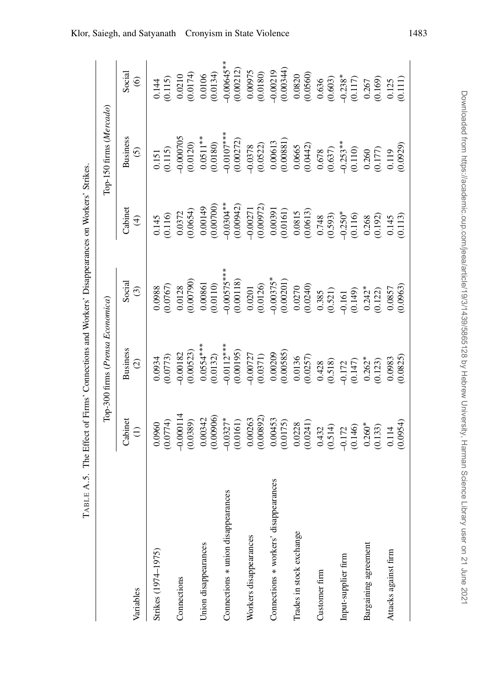|                                       |                                                                                                                                                                                                                                               | Top-300 firms (Prensa Economica)                                                                                                                                                                                                                                                                           |                                                                                                                                                                                                        |                                                                                                                                                                                                                                                                                       | Top-150 firms (Mercado)                                                                                                                                                                                                                                                |                                                                                                                         |
|---------------------------------------|-----------------------------------------------------------------------------------------------------------------------------------------------------------------------------------------------------------------------------------------------|------------------------------------------------------------------------------------------------------------------------------------------------------------------------------------------------------------------------------------------------------------------------------------------------------------|--------------------------------------------------------------------------------------------------------------------------------------------------------------------------------------------------------|---------------------------------------------------------------------------------------------------------------------------------------------------------------------------------------------------------------------------------------------------------------------------------------|------------------------------------------------------------------------------------------------------------------------------------------------------------------------------------------------------------------------------------------------------------------------|-------------------------------------------------------------------------------------------------------------------------|
| Variables                             | Cabinet<br>$\widehat{E}$                                                                                                                                                                                                                      | <b>Business</b><br>$\odot$                                                                                                                                                                                                                                                                                 | Social<br>$\odot$                                                                                                                                                                                      | Cabine<br>$\widehat{\mathcal{F}}$                                                                                                                                                                                                                                                     | <b>Business</b><br>$\odot$                                                                                                                                                                                                                                             | Social<br>$\widehat{\circ}$                                                                                             |
| Strikes (1974-1975)                   | (0.0960)                                                                                                                                                                                                                                      | (0.0773)<br>0.0934                                                                                                                                                                                                                                                                                         | (0.0767)<br>0.0988                                                                                                                                                                                     | $0.145$<br>$0.116$                                                                                                                                                                                                                                                                    | (0.115)<br>0.151                                                                                                                                                                                                                                                       | (0.115)<br>0.144                                                                                                        |
| Connections                           | $-0.000114$<br>(0.0389)                                                                                                                                                                                                                       |                                                                                                                                                                                                                                                                                                            | $\frac{0.0128}{(0.00790)}$                                                                                                                                                                             |                                                                                                                                                                                                                                                                                       |                                                                                                                                                                                                                                                                        |                                                                                                                         |
| Union disappearances                  | $0.00342$<br>$(0.00906)$                                                                                                                                                                                                                      | $-0.00182$<br>(0.00523)<br>0.0554***<br>(0.0132)                                                                                                                                                                                                                                                           | $0.00861$<br>$(0.0110)$                                                                                                                                                                                |                                                                                                                                                                                                                                                                                       |                                                                                                                                                                                                                                                                        | $\begin{array}{c} 0.0210 \\ (0.0174) \\ 0.0106 \\ (0.0134) \end{array}$                                                 |
| Connections * union disappearances    |                                                                                                                                                                                                                                               |                                                                                                                                                                                                                                                                                                            |                                                                                                                                                                                                        |                                                                                                                                                                                                                                                                                       |                                                                                                                                                                                                                                                                        |                                                                                                                         |
| Workers disappearances                |                                                                                                                                                                                                                                               | $\begin{array}{l} \left( \begin{array}{l} * \ * \\ 0.0118 \\ 0.00195 \\ 0.00197 \\ 0.00727 \\ 0.00727 \\ 0.00371 \\ 0.00385 \\ 0.00385 \\ 0.0036 \\ 0.0136 \\ 0.0037 \\ 0.0037 \\ 0.0037 \\ 0.0037 \\ 0.0038 \\ 0.0038 \\ 0.0038 \\ 0.0038 \\ 0.0038 \\ 0.0038 \\ 0.0038 \\ 0.0038 \\ 0.0038 \\ 0.0038 \\$ | $-0.0057$ ***<br>$(0.00118)$<br>$(0.00118)$<br>$(0.0018)$<br>$(0.00375$ *<br>$-0.00375$ *<br>$(0.00201)$<br>$(0.00201)$<br>$(0.0037)$<br>$(0.034)$<br>$(0.149)$<br>$(0.142)$<br>$(0.142)$<br>$(0.122)$ |                                                                                                                                                                                                                                                                                       |                                                                                                                                                                                                                                                                        | $-0.00645**$<br>(0.00212)<br>0.00975<br>0.0180)                                                                         |
| Connections * workers' disappearances |                                                                                                                                                                                                                                               |                                                                                                                                                                                                                                                                                                            |                                                                                                                                                                                                        |                                                                                                                                                                                                                                                                                       |                                                                                                                                                                                                                                                                        |                                                                                                                         |
| Trades in stock exchange              |                                                                                                                                                                                                                                               |                                                                                                                                                                                                                                                                                                            |                                                                                                                                                                                                        |                                                                                                                                                                                                                                                                                       |                                                                                                                                                                                                                                                                        | $-0.00219$<br>$(0.00344)$<br>$0.0820$<br>$(0.0560)$                                                                     |
| Customer firm                         |                                                                                                                                                                                                                                               |                                                                                                                                                                                                                                                                                                            |                                                                                                                                                                                                        |                                                                                                                                                                                                                                                                                       |                                                                                                                                                                                                                                                                        |                                                                                                                         |
| Input-supplier firm                   |                                                                                                                                                                                                                                               |                                                                                                                                                                                                                                                                                                            |                                                                                                                                                                                                        |                                                                                                                                                                                                                                                                                       |                                                                                                                                                                                                                                                                        |                                                                                                                         |
| Bargaining agreement                  |                                                                                                                                                                                                                                               |                                                                                                                                                                                                                                                                                                            |                                                                                                                                                                                                        |                                                                                                                                                                                                                                                                                       |                                                                                                                                                                                                                                                                        |                                                                                                                         |
| Attacks against firm                  | $-0.0327$<br>$-0.0161$<br>$0.00682$<br>$0.00063$<br>$0.000453$<br>$0.00453$<br>$0.00453$<br>$0.0028$<br>$0.00241$<br>$0.144$<br>$0.114$<br>$0.114$<br>$0.114$<br>$0.114$<br>$0.114$<br>$0.114$<br>$0.114$<br>$0.0054$<br>$0.0054$<br>$0.0054$ | $\begin{array}{c} 0.0983 \\ 0.0825 \end{array}$                                                                                                                                                                                                                                                            | $\frac{0.0857}{0.0963}$                                                                                                                                                                                | $\begin{array}{l} 0.0372 \\ 0.0654) \\ 0.00149 \\ 0.001043 \\ 0.000700 \\ 0.000971 \\ 0.000971 \\ 0.000972 \\ 0.00091 \\ 0.00091 \\ 0.00091 \\ 0.00091 \\ 0.00091 \\ 0.00091 \\ 0.00091 \\ 0.00091 \\ 0.00091 \\ 0.00092 \\ 0.0145 \\ 0.0145 \\ 0.0145 \\ 0.0145 \\ 0.0145 \\ 0.0145$ | $\begin{array}{l} 0.000705\\ 0.0120)\\ 0.0511^{***}\\ 0.0180)\\ 0.0107^{***}\\ 0.01607\\ 0.00272)\\ 0.00613\\ 0.00681)\\ 0.00681)\\ 0.00681)\\ 0.00637\\ 0.00637\\ 0.00637\\ 0.0003\\ 0.0003\\ 0.0003\\ 0.0003\\ 0.0003\\ 0.0003\\ 0.0119\\ 0.119\\ 0.010929\\ 0.0000$ | $\begin{array}{c} 0.636 \\ (0.603) \\ -0.238^* \\ (0.117) \\ 0.267 \\ (0.169) \\ 0.125 \\ (0.109) \\ 0.125 \end{array}$ |

<span id="page-44-0"></span>TABLE A.5. The Effect of Firms' Connections and Workers' Disappearances on Workers' Strikes. TABLE A.5. The Effect of Firms' Connections and Workers' Disappearances on Workers' Strikes.

Downloaded from https://academic.oup.com/jeea/article/19/3/1439/5865128 by Hebrew University, Harman Science Library user on 21 June 2021 Downloaded from https://academic.oup.com/jeea/article/19/3/1439/5865128 by Hebrew University, Harman Science Library user on 21 June 2021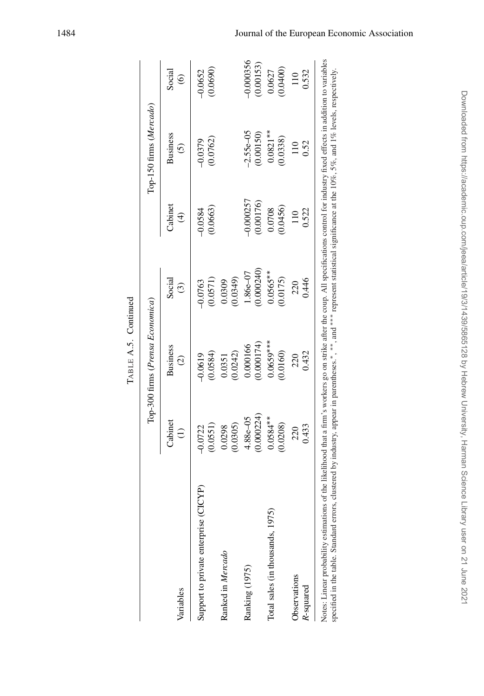|                                                                                                                                                                                                                                                                                                                                                                                   |                    | Top-300 firms (Prensa Economica) |                    |                                    | Top-150 firms (Mercado)    |                             |
|-----------------------------------------------------------------------------------------------------------------------------------------------------------------------------------------------------------------------------------------------------------------------------------------------------------------------------------------------------------------------------------|--------------------|----------------------------------|--------------------|------------------------------------|----------------------------|-----------------------------|
| Variables                                                                                                                                                                                                                                                                                                                                                                         | Cabinet            | <b>Business</b><br>$\widehat{c}$ | Social<br>$\odot$  | Cabinet<br>$\widehat{\mathcal{A}}$ | <b>Business</b><br>$\odot$ | Social<br>$\widehat{\circ}$ |
| ICYP)                                                                                                                                                                                                                                                                                                                                                                             | (0.0551)           | (0.0584)                         | (0.0571)           | 0.0663                             | (0.0762)                   | 0.0690)                     |
| Support to private enterprise (CI                                                                                                                                                                                                                                                                                                                                                 | $-0.0722$          | $-0.0619$                        | $-0.0763$          | $-0.0584$                          | $-0.0379$                  | $-0.0652$                   |
| Ranked in Mercado                                                                                                                                                                                                                                                                                                                                                                 | (0.0305)<br>0.0298 | (0.0242)<br>0.0351               | (0.0349)<br>0.0309 |                                    |                            |                             |
| Ranking (1975)                                                                                                                                                                                                                                                                                                                                                                    | 0.000224           | (0.000174)                       | 0.000240)          | $-0.000257$                        | $-2.55e - 05$              | 0.000356                    |
|                                                                                                                                                                                                                                                                                                                                                                                   | $4.88e - 05$       | 0.000166                         | 1.86e-07           | (0.00176)                          | 0.00150                    | 0.00153)                    |
| Total sales (in thousands, 1975)                                                                                                                                                                                                                                                                                                                                                  | $0.0584**$         | $0.0659***$                      | $0.0565***$        | (0.0456)                           | $0.0821***$                | 0.0400)                     |
|                                                                                                                                                                                                                                                                                                                                                                                   | 0.0208)            | 0.0160                           | 0.0175             | 0.0708                             | 0.0338)                    | 0.0627                      |
| Observations                                                                                                                                                                                                                                                                                                                                                                      | 0.433              | 0.432                            | 0.446              | 0.522                              | 0.52                       | 0.532                       |
| R-squared                                                                                                                                                                                                                                                                                                                                                                         | 220                | 220                              | 220                | 110                                |                            | 110                         |
| Notes: Linear probability estimations of the likelihood that a firm's workers go on strike after the coup. All specifications control for industry fixed effects in addition to variables<br>specified in the table. Standard errors, clustered by industry, appear in parentheses.*, **, and *** represent statistical significance at the 10%, 5%, and 1% levels, respectively. |                    |                                  |                    |                                    |                            |                             |

| r |  |
|---|--|
|   |  |
|   |  |
|   |  |
|   |  |
|   |  |
|   |  |
| ſ |  |
| г |  |
|   |  |

# Downloaded from https://academic.oup.com/jeea/article/19/3/1439/5865128 by Hebrew University, Harman Science Library user on 21 June 2021 Downloaded from https://academic.oup.com/jeea/article/19/3/1439/5865128 by Hebrew University, Harman Science Library user on 21 June 2021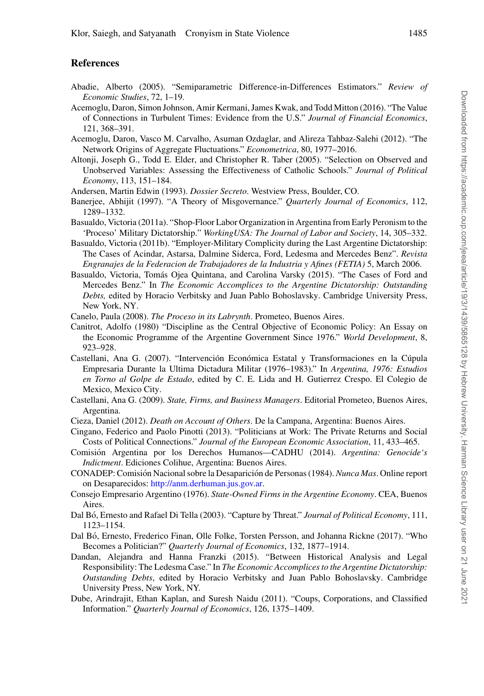### **References**

- <span id="page-46-19"></span>Abadie, Alberto (2005). "Semiparametric Difference-in-Differences Estimators." *Review of Economic Studies*, 72, 1–19.
- <span id="page-46-3"></span>Acemoglu, Daron, Simon Johnson, Amir Kermani, James Kwak, and Todd Mitton (2016). "The Value of Connections in Turbulent Times: Evidence from the U.S." *Journal of Financial Economics*, 121, 368–391.
- <span id="page-46-9"></span>Acemoglu, Daron, Vasco M. Carvalho, Asuman Ozdaglar, and Alireza Tahbaz-Salehi (2012). "The Network Origins of Aggregate Fluctuations." *Econometrica*, 80, 1977–2016.
- <span id="page-46-20"></span>Altonji, Joseph G., Todd E. Elder, and Christopher R. Taber (2005). "Selection on Observed and Unobserved Variables: Assessing the Effectiveness of Catholic Schools." *Journal of Political Economy*, 113, 151–184.
- <span id="page-46-7"></span>Andersen, Martin Edwin (1993). *Dossier Secreto*. Westview Press, Boulder, CO.
- <span id="page-46-1"></span>Banerjee, Abhijit (1997). "A Theory of Misgovernance." *Quarterly Journal of Economics*, 112, 1289–1332.
- <span id="page-46-10"></span>Basualdo, Victoria (2011a). "Shop-Floor Labor Organization in Argentina from Early Peronism to the 'Proceso' Military Dictatorship." *WorkingUSA: The Journal of Labor and Society*, 14, 305–332.
- <span id="page-46-11"></span>Basualdo, Victoria (2011b). "Employer-Military Complicity during the Last Argentine Dictatorship: The Cases of Acindar, Astarsa, Dalmine Siderca, Ford, Ledesma and Mercedes Benz". *Revista Engranajes de la Federacion de Trabajadores de la Industria y Afines (FETIA)* 5, March 2006.
- <span id="page-46-14"></span>Basualdo, Victoria, Tomás Ojea Quintana, and Carolina Varsky (2015). "The Cases of Ford and Mercedes Benz." In *The Economic Accomplices to the Argentine Dictatorship: Outstanding Debts,* edited by Horacio Verbitsky and Juan Pablo Bohoslavsky. Cambridge University Press, New York, NY.
- <span id="page-46-18"></span>Canelo, Paula (2008). *The Proceso in its Labrynth*. Prometeo, Buenos Aires.
- <span id="page-46-8"></span>Canitrot, Adolfo (1980) "Discipline as the Central Objective of Economic Policy: An Essay on the Economic Programme of the Argentine Government Since 1976." *World Development*, 8, 923–928.
- <span id="page-46-16"></span>Castellani, Ana G. (2007). "Intervención Económica Estatal y Transformaciones en la Cúpula Empresaria Durante la Ultima Dictadura Militar (1976–1983)." In *Argentina, 1976: Estudios en Torno al Golpe de Estado*, edited by C. E. Lida and H. Gutierrez Crespo. El Colegio de Mexico, Mexico City.
- <span id="page-46-17"></span>Castellani, Ana G. (2009). *State, Firms, and Business Managers*. Editorial Prometeo, Buenos Aires, Argentina.
- <span id="page-46-13"></span>Cieza, Daniel (2012). *Death on Account of Others*. De la Campana, Argentina: Buenos Aires.
- <span id="page-46-6"></span>Cingano, Federico and Paolo Pinotti (2013). "Politicians at Work: The Private Returns and Social Costs of Political Connections." *Journal of the European Economic Association*, 11, 433–465.
- <span id="page-46-0"></span>Comisión Argentina por los Derechos Humanos—CADHU (2014). *Argentina: Genocide's Indictment*. Ediciones Colihue, Argentina: Buenos Aires.
- <span id="page-46-12"></span>CONADEP: Comisión Nacional sobre la Desaparición de Personas (1984). *Nunca Mas*. Online report on Desaparecidos: [http://anm.derhuman.jus.gov.ar.](http://anm.derhuman.jus.gov.ar)
- <span id="page-46-21"></span>Consejo Empresario Argentino (1976). *State-Owned Firms in the Argentine Economy*. CEA, Buenos Aires.
- <span id="page-46-5"></span>Dal Bo, Ernesto and Rafael Di Tella (2003). "Capture by Threat." ´ *Journal of Political Economy*, 111, 1123–1154.
- <span id="page-46-4"></span>Dal Bó, Ernesto, Frederico Finan, Olle Folke, Torsten Persson, and Johanna Rickne (2017). "Who Becomes a Politician?" *Quarterly Journal of Economics*, 132, 1877–1914.
- <span id="page-46-15"></span>Dandan, Alejandra and Hanna Franzki (2015). "Between Historical Analysis and Legal Responsibility: The Ledesma Case." In *The Economic Accomplices to the Argentine Dictatorship: Outstanding Debts*, edited by Horacio Verbitsky and Juan Pablo Bohoslavsky. Cambridge University Press, New York, NY.
- <span id="page-46-2"></span>Dube, Arindrajit, Ethan Kaplan, and Suresh Naidu (2011). "Coups, Corporations, and Classified Information." *Quarterly Journal of Economics*, 126, 1375–1409.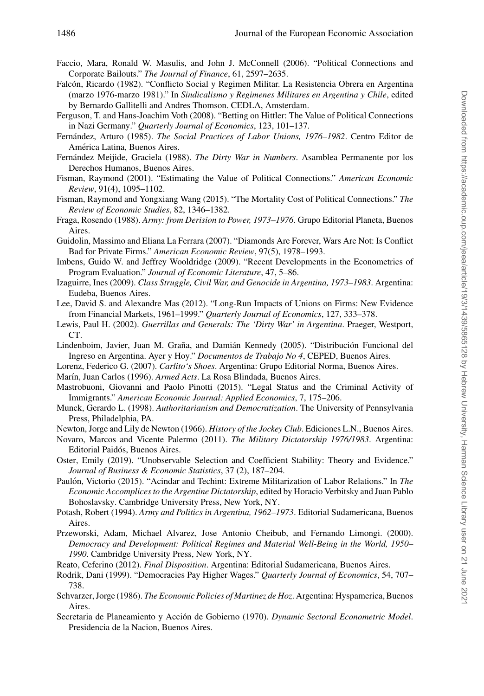- <span id="page-47-6"></span>Faccio, Mara, Ronald W. Masulis, and John J. McConnell (2006). "Political Connections and Corporate Bailouts." *The Journal of Finance*, 61, 2597–2635.
- <span id="page-47-27"></span>Falcon, Ricardo (1982). "Conflicto Social y Regimen Militar. La Resistencia Obrera en Argentina ´ (marzo 1976-marzo 1981)." In *Sindicalismo y Regimenes Militares en Argentina y Chile*, edited by Bernardo Gallitelli and Andres Thomson. CEDLA, Amsterdam.
- <span id="page-47-8"></span>Ferguson, T. and Hans-Joachim Voth (2008). "Betting on Hittler: The Value of Political Connections in Nazi Germany." *Quarterly Journal of Economics*, 123, 101–137.
- <span id="page-47-19"></span>Fernández, Arturo (1985). *The Social Practices of Labor Unions, 1976–1982*. Centro Editor de América Latina, Buenos Aires.
- <span id="page-47-22"></span>Fernández Meijide, Graciela (1988). *The Dirty War in Numbers*. Asamblea Permanente por los Derechos Humanos, Buenos Aires.
- <span id="page-47-5"></span>Fisman, Raymond (2001). "Estimating the Value of Political Connections." *American Economic Review*, 91(4), 1095–1102.
- <span id="page-47-9"></span>Fisman, Raymond and Yongxiang Wang (2015). "The Mortality Cost of Political Connections." *The Review of Economic Studies*, 82, 1346–1382.
- <span id="page-47-16"></span>Fraga, Rosendo (1988). *Army: from Derision to Power, 1973–1976*. Grupo Editorial Planeta, Buenos Aires.
- <span id="page-47-7"></span>Guidolin, Massimo and Eliana La Ferrara (2007). "Diamonds Are Forever, Wars Are Not: Is Conflict Bad for Private Firms." *American Economic Review*, 97(5), 1978–1993.
- <span id="page-47-26"></span>Imbens, Guido W. and Jeffrey Wooldridge (2009). "Recent Developments in the Econometrics of Program Evaluation." *Journal of Economic Literature*, 47, 5–86.
- <span id="page-47-18"></span>Izaguirre, Ines (2009). *Class Struggle, Civil War, and Genocide in Argentina, 1973–1983*. Argentina: Eudeba, Buenos Aires.
- <span id="page-47-10"></span>Lee, David S. and Alexandre Mas (2012). "Long-Run Impacts of Unions on Firms: New Evidence from Financial Markets, 1961–1999." *Quarterly Journal of Economics*, 127, 333–378.
- <span id="page-47-0"></span>Lewis, Paul H. (2002). *Guerrillas and Generals: The 'Dirty War' in Argentina*. Praeger, Westport, CT.
- <span id="page-47-12"></span>Lindenboim, Javier, Juan M. Graña, and Damián Kennedy (2005). "Distribución Funcional del Ingreso en Argentina. Ayer y Hoy." *Documentos de Trabajo No 4*, CEPED, Buenos Aires.
- <span id="page-47-13"></span>Lorenz, Federico G. (2007). *Carlito's Shoes*. Argentina: Grupo Editorial Norma, Buenos Aires.

<span id="page-47-23"></span>Marín, Juan Carlos (1996). *Armed Acts*. La Rosa Blindada, Buenos Aires.

- <span id="page-47-25"></span>Mastrobuoni, Giovanni and Paolo Pinotti (2015). "Legal Status and the Criminal Activity of Immigrants." *American Economic Journal: Applied Economics*, 7, 175–206.
- <span id="page-47-11"></span>Munck, Gerardo L. (1998). *Authoritarianism and Democratization*. The University of Pennsylvania Press, Philadelphia, PA.

<span id="page-47-17"></span>Newton, Jorge and Lily de Newton (1966). *History of the Jockey Club*. Ediciones L.N., Buenos Aires.

- <span id="page-47-2"></span>Novaro, Marcos and Vicente Palermo (2011). *The Military Dictatorship 1976/1983*. Argentina: Editorial Paidós, Buenos Aires.
- <span id="page-47-24"></span>Oster, Emily (2019). "Unobservable Selection and Coefficient Stability: Theory and Evidence." *Journal of Business & Economic Statistics*, 37 (2), 187–204.
- <span id="page-47-14"></span>Paulón, Victorio (2015). "Acindar and Techint: Extreme Militarization of Labor Relations." In *The Economic Accomplices to the Argentine Dictatorship*, edited by Horacio Verbitsky and Juan Pablo Bohoslavsky. Cambridge University Press, New York, NY.
- <span id="page-47-21"></span>Potash, Robert (1994). *Army and Politics in Argentina, 1962–1973*. Editorial Sudamericana, Buenos Aires.
- <span id="page-47-4"></span>Przeworski, Adam, Michael Alvarez, Jose Antonio Cheibub, and Fernando Limongi. (2000). *Democracy and Development: Political Regimes and Material Well-Being in the World, 1950– 1990*. Cambridge University Press, New York, NY.
- <span id="page-47-1"></span>Reato, Ceferino (2012). *Final Disposition*. Argentina: Editorial Sudamericana, Buenos Aires.
- <span id="page-47-3"></span>Rodrik, Dani (1999). "Democracies Pay Higher Wages." *Quarterly Journal of Economics*, 54, 707– 738.
- <span id="page-47-15"></span>Schvarzer, Jorge (1986). *The Economic Policies of Martinez de Hoz*. Argentina: Hyspamerica, Buenos Aires.
- <span id="page-47-20"></span>Secretaria de Planeamiento y Acción de Gobierno (1970). *Dynamic Sectoral Econometric Model*. Presidencia de la Nacion, Buenos Aires.